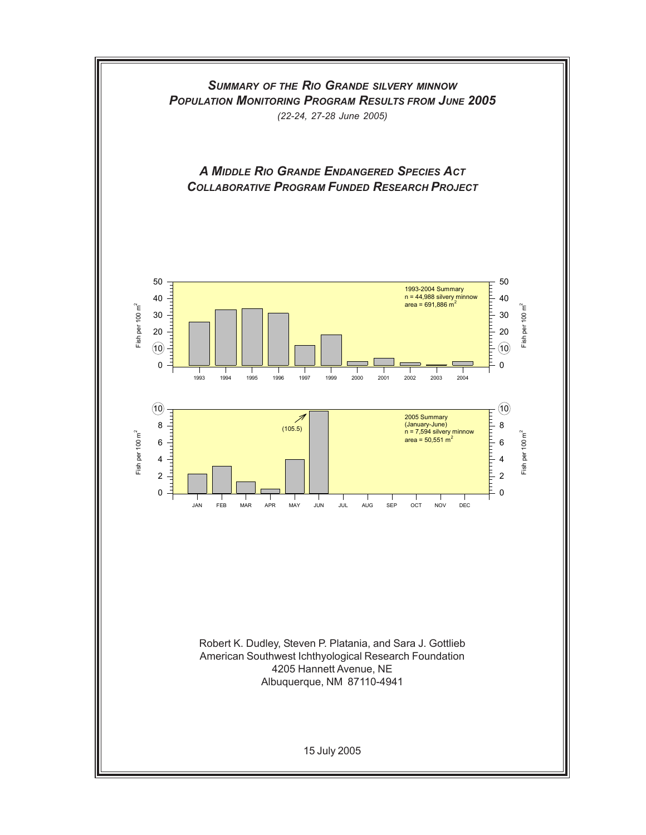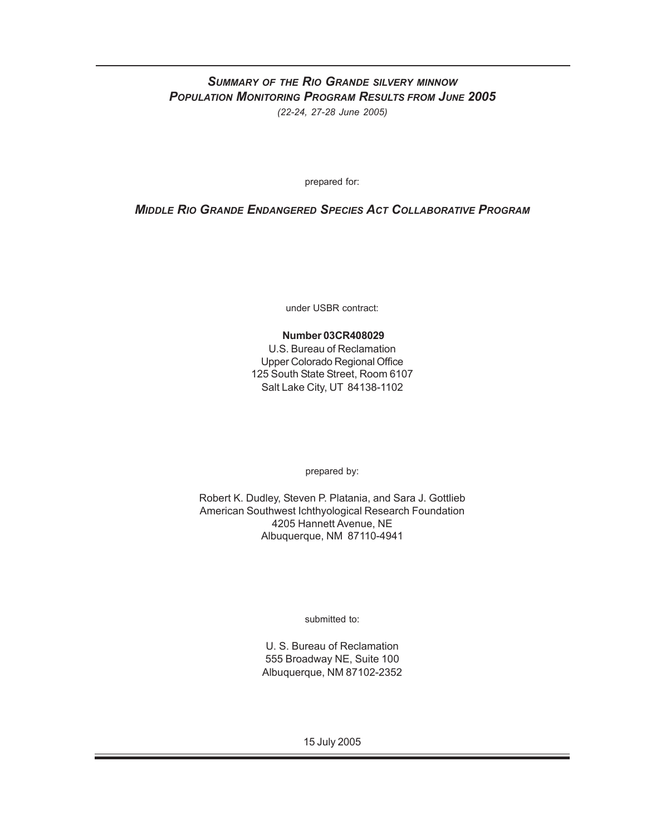## *SUMMARY OF THE RIO GRANDE SILVERY MINNOW POPULATION MONITORING PROGRAM RESULTS FROM JUNE 2005 (22-24, 27-28 June 2005)*

prepared for:

### *MIDDLE RIO GRANDE ENDANGERED SPECIES ACT COLLABORATIVE PROGRAM*

under USBR contract:

#### **Number 03CR408029**

U.S. Bureau of Reclamation Upper Colorado Regional Office 125 South State Street, Room 6107 Salt Lake City, UT 84138-1102

prepared by:

Robert K. Dudley, Steven P. Platania, and Sara J. Gottlieb American Southwest Ichthyological Research Foundation 4205 Hannett Avenue, NE Albuquerque, NM 87110-4941

submitted to:

U. S. Bureau of Reclamation 555 Broadway NE, Suite 100 Albuquerque, NM 87102-2352

15 July 2005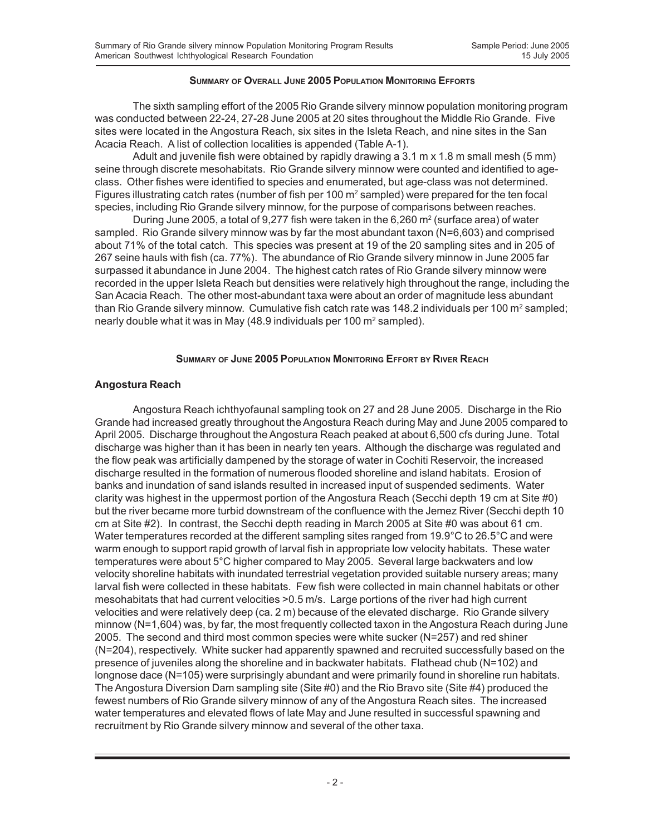#### **SUMMARY OF OVERALL JUNE 2005 POPULATION MONITORING EFFORTS**

The sixth sampling effort of the 2005 Rio Grande silvery minnow population monitoring program was conducted between 22-24, 27-28 June 2005 at 20 sites throughout the Middle Rio Grande. Five sites were located in the Angostura Reach, six sites in the Isleta Reach, and nine sites in the San Acacia Reach. A list of collection localities is appended (Table A-1).

Adult and juvenile fish were obtained by rapidly drawing a 3.1 m x 1.8 m small mesh (5 mm) seine through discrete mesohabitats. Rio Grande silvery minnow were counted and identified to ageclass. Other fishes were identified to species and enumerated, but age-class was not determined. Figures illustrating catch rates (number of fish per 100 m<sup>2</sup> sampled) were prepared for the ten focal species, including Rio Grande silvery minnow, for the purpose of comparisons between reaches.

During June 2005, a total of 9,277 fish were taken in the 6,260 m<sup>2</sup> (surface area) of water sampled. Rio Grande silvery minnow was by far the most abundant taxon (N=6,603) and comprised about 71% of the total catch. This species was present at 19 of the 20 sampling sites and in 205 of 267 seine hauls with fish (ca. 77%). The abundance of Rio Grande silvery minnow in June 2005 far surpassed it abundance in June 2004. The highest catch rates of Rio Grande silvery minnow were recorded in the upper Isleta Reach but densities were relatively high throughout the range, including the San Acacia Reach. The other most-abundant taxa were about an order of magnitude less abundant than Rio Grande silvery minnow. Cumulative fish catch rate was 148.2 individuals per 100 m<sup>2</sup> sampled; nearly double what it was in May (48.9 individuals per 100  $m^2$  sampled).

#### **SUMMARY OF JUNE 2005 POPULATION MONITORING EFFORT BY RIVER REACH**

#### **Angostura Reach**

Angostura Reach ichthyofaunal sampling took on 27 and 28 June 2005. Discharge in the Rio Grande had increased greatly throughout the Angostura Reach during May and June 2005 compared to April 2005. Discharge throughout the Angostura Reach peaked at about 6,500 cfs during June. Total discharge was higher than it has been in nearly ten years. Although the discharge was regulated and the flow peak was artificially dampened by the storage of water in Cochiti Reservoir, the increased discharge resulted in the formation of numerous flooded shoreline and island habitats. Erosion of banks and inundation of sand islands resulted in increased input of suspended sediments. Water clarity was highest in the uppermost portion of the Angostura Reach (Secchi depth 19 cm at Site #0) but the river became more turbid downstream of the confluence with the Jemez River (Secchi depth 10 cm at Site #2). In contrast, the Secchi depth reading in March 2005 at Site #0 was about 61 cm. Water temperatures recorded at the different sampling sites ranged from 19.9°C to 26.5°C and were warm enough to support rapid growth of larval fish in appropriate low velocity habitats. These water temperatures were about 5°C higher compared to May 2005. Several large backwaters and low velocity shoreline habitats with inundated terrestrial vegetation provided suitable nursery areas; many larval fish were collected in these habitats. Few fish were collected in main channel habitats or other mesohabitats that had current velocities >0.5 m/s. Large portions of the river had high current velocities and were relatively deep (ca. 2 m) because of the elevated discharge. Rio Grande silvery minnow (N=1,604) was, by far, the most frequently collected taxon in the Angostura Reach during June 2005. The second and third most common species were white sucker (N=257) and red shiner (N=204), respectively. White sucker had apparently spawned and recruited successfully based on the presence of juveniles along the shoreline and in backwater habitats. Flathead chub (N=102) and longnose dace (N=105) were surprisingly abundant and were primarily found in shoreline run habitats. The Angostura Diversion Dam sampling site (Site #0) and the Rio Bravo site (Site #4) produced the fewest numbers of Rio Grande silvery minnow of any of the Angostura Reach sites. The increased water temperatures and elevated flows of late May and June resulted in successful spawning and recruitment by Rio Grande silvery minnow and several of the other taxa.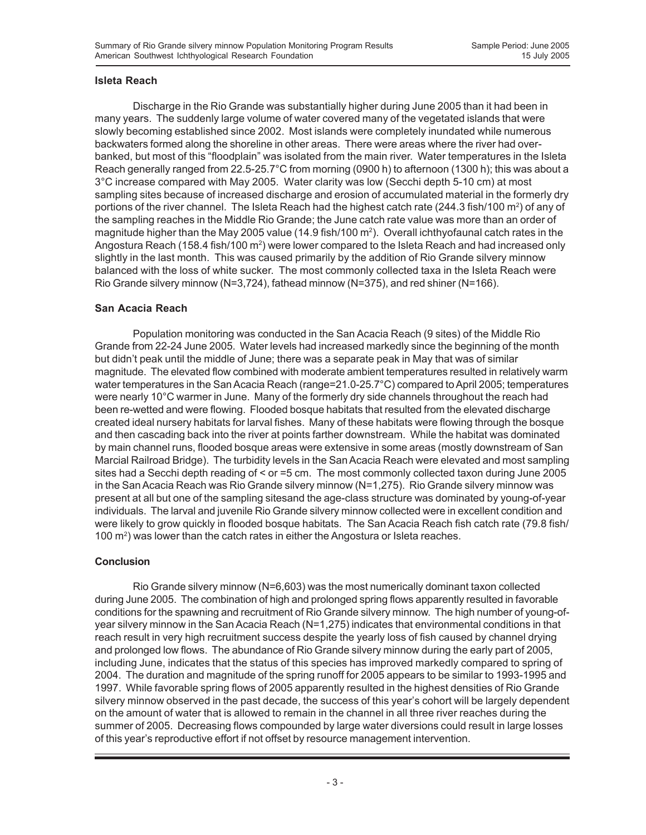#### **Isleta Reach**

Discharge in the Rio Grande was substantially higher during June 2005 than it had been in many years. The suddenly large volume of water covered many of the vegetated islands that were slowly becoming established since 2002. Most islands were completely inundated while numerous backwaters formed along the shoreline in other areas. There were areas where the river had overbanked, but most of this "floodplain" was isolated from the main river. Water temperatures in the Isleta Reach generally ranged from 22.5-25.7°C from morning (0900 h) to afternoon (1300 h); this was about a 3°C increase compared with May 2005. Water clarity was low (Secchi depth 5-10 cm) at most sampling sites because of increased discharge and erosion of accumulated material in the formerly dry portions of the river channel. The Isleta Reach had the highest catch rate (244.3 fish/100 m²) of any of the sampling reaches in the Middle Rio Grande; the June catch rate value was more than an order of magnitude higher than the May 2005 value (14.9 fish/100 m<sup>2</sup>). Overall ichthyofaunal catch rates in the Angostura Reach (158.4 fish/100 m²) were lower compared to the Isleta Reach and had increased only slightly in the last month. This was caused primarily by the addition of Rio Grande silvery minnow balanced with the loss of white sucker. The most commonly collected taxa in the Isleta Reach were Rio Grande silvery minnow (N=3,724), fathead minnow (N=375), and red shiner (N=166).

#### **San Acacia Reach**

Population monitoring was conducted in the San Acacia Reach (9 sites) of the Middle Rio Grande from 22-24 June 2005. Water levels had increased markedly since the beginning of the month but didn't peak until the middle of June; there was a separate peak in May that was of similar magnitude. The elevated flow combined with moderate ambient temperatures resulted in relatively warm water temperatures in the San Acacia Reach (range=21.0-25.7°C) compared to April 2005; temperatures were nearly 10°C warmer in June. Many of the formerly dry side channels throughout the reach had been re-wetted and were flowing. Flooded bosque habitats that resulted from the elevated discharge created ideal nursery habitats for larval fishes. Many of these habitats were flowing through the bosque and then cascading back into the river at points farther downstream. While the habitat was dominated by main channel runs, flooded bosque areas were extensive in some areas (mostly downstream of San Marcial Railroad Bridge). The turbidity levels in the San Acacia Reach were elevated and most sampling sites had a Secchi depth reading of < or =5 cm. The most commonly collected taxon during June 2005 in the San Acacia Reach was Rio Grande silvery minnow (N=1,275). Rio Grande silvery minnow was present at all but one of the sampling sitesand the age-class structure was dominated by young-of-year individuals. The larval and juvenile Rio Grande silvery minnow collected were in excellent condition and were likely to grow quickly in flooded bosque habitats. The San Acacia Reach fish catch rate (79.8 fish/ 100 m2 ) was lower than the catch rates in either the Angostura or Isleta reaches.

#### **Conclusion**

Rio Grande silvery minnow (N=6,603) was the most numerically dominant taxon collected during June 2005. The combination of high and prolonged spring flows apparently resulted in favorable conditions for the spawning and recruitment of Rio Grande silvery minnow. The high number of young-ofyear silvery minnow in the San Acacia Reach (N=1,275) indicates that environmental conditions in that reach result in very high recruitment success despite the yearly loss of fish caused by channel drying and prolonged low flows. The abundance of Rio Grande silvery minnow during the early part of 2005, including June, indicates that the status of this species has improved markedly compared to spring of 2004. The duration and magnitude of the spring runoff for 2005 appears to be similar to 1993-1995 and 1997. While favorable spring flows of 2005 apparently resulted in the highest densities of Rio Grande silvery minnow observed in the past decade, the success of this year's cohort will be largely dependent on the amount of water that is allowed to remain in the channel in all three river reaches during the summer of 2005. Decreasing flows compounded by large water diversions could result in large losses of this year's reproductive effort if not offset by resource management intervention.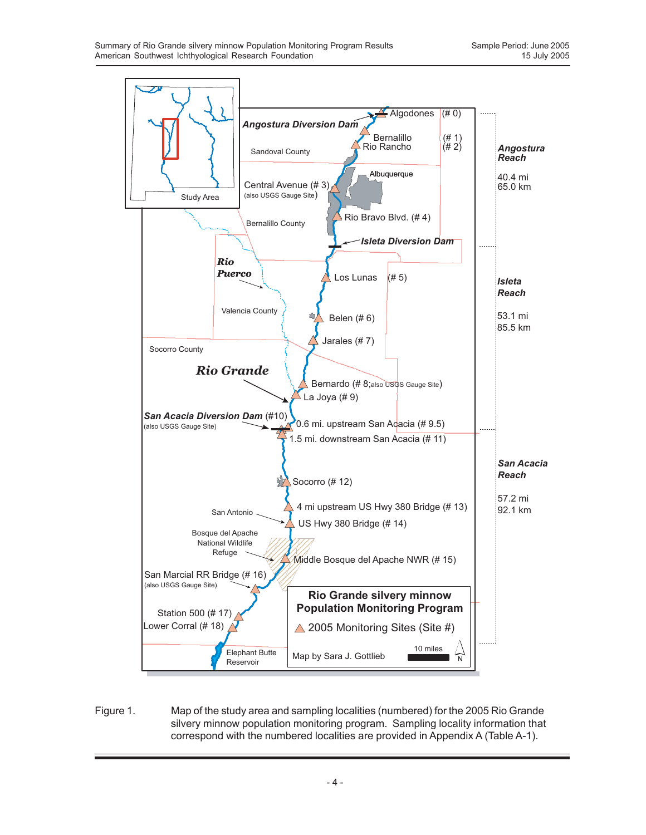

Figure 1. Map of the study area and sampling localities (numbered) for the 2005 Rio Grande silvery minnow population monitoring program. Sampling locality information that correspond with the numbered localities are provided in Appendix A (Table A-1).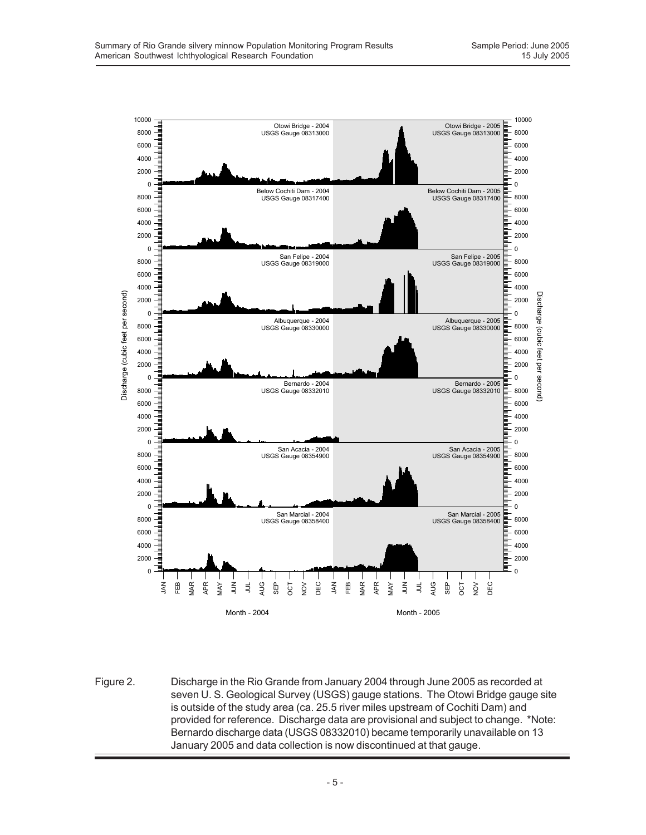

Figure 2. Discharge in the Rio Grande from January 2004 through June 2005 as recorded at seven U. S. Geological Survey (USGS) gauge stations. The Otowi Bridge gauge site is outside of the study area (ca. 25.5 river miles upstream of Cochiti Dam) and provided for reference. Discharge data are provisional and subject to change. \*Note: Bernardo discharge data (USGS 08332010) became temporarily unavailable on 13 January 2005 and data collection is now discontinued at that gauge.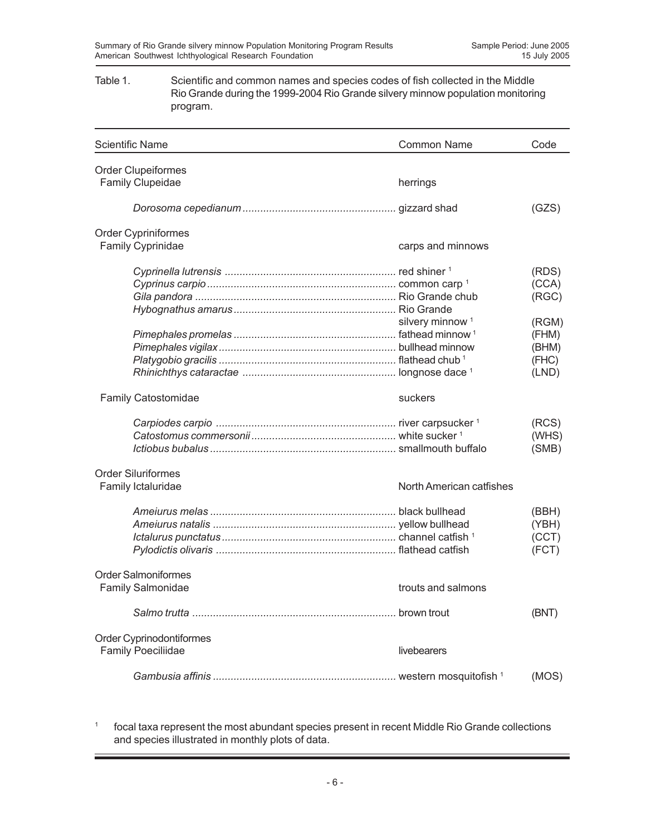#### Table 1. Scientific and common names and species codes of fish collected in the Middle Rio Grande during the 1999-2004 Rio Grande silvery minnow population monitoring program.

| <b>Scientific Name</b>     | <b>Common Name</b>          | Code  |
|----------------------------|-----------------------------|-------|
| <b>Order Clupeiformes</b>  |                             |       |
| Family Clupeidae           | herrings                    |       |
|                            |                             | (GZS) |
| <b>Order Cypriniformes</b> |                             |       |
| <b>Family Cyprinidae</b>   | carps and minnows           |       |
|                            |                             | (RDS) |
|                            |                             | (CCA) |
|                            |                             | (RGC) |
|                            |                             |       |
|                            | silvery minnow <sup>1</sup> | (RGM) |
|                            |                             | (FHM) |
|                            |                             | (BHM) |
|                            |                             | (FHC) |
|                            |                             | (LND) |
| <b>Family Catostomidae</b> | suckers                     |       |
|                            |                             | (RCS) |
|                            |                             | (WHS) |
|                            |                             | (SMB) |
| <b>Order Siluriformes</b>  |                             |       |
| Family Ictaluridae         | North American catfishes    |       |
|                            |                             | (BBH) |
|                            |                             | (YBH) |
|                            |                             | (CCT) |
|                            |                             | (FCT) |
| <b>Order Salmoniformes</b> |                             |       |
| <b>Family Salmonidae</b>   | trouts and salmons          |       |
|                            |                             | (BNT) |
| Order Cyprinodontiformes   |                             |       |
| <b>Family Poeciliidae</b>  | livebearers                 |       |
|                            |                             | (MOS) |

<sup>1</sup> focal taxa represent the most abundant species present in recent Middle Rio Grande collections and species illustrated in monthly plots of data.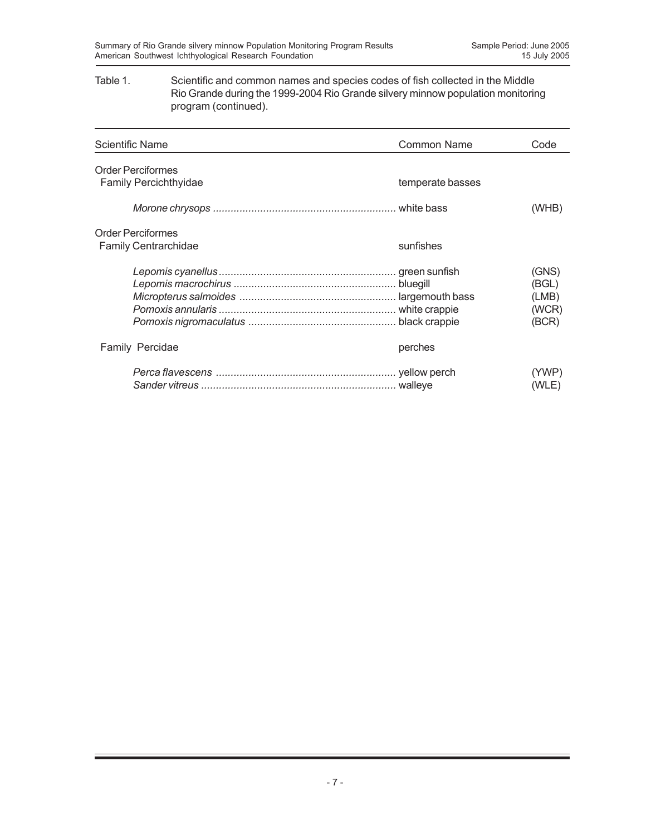#### Table 1. Scientific and common names and species codes of fish collected in the Middle Rio Grande during the 1999-2004 Rio Grande silvery minnow population monitoring program (continued).

| <b>Scientific Name</b>                                   | <b>Common Name</b> | Code                                      |
|----------------------------------------------------------|--------------------|-------------------------------------------|
| <b>Order Perciformes</b><br><b>Family Percichthyidae</b> | temperate basses   |                                           |
|                                                          |                    | (WHB)                                     |
| <b>Order Perciformes</b><br><b>Family Centrarchidae</b>  | sunfishes          |                                           |
|                                                          |                    | (GNS)<br>(BGL)<br>(LMB)<br>(WCR)<br>(BCR) |
| Family Percidae                                          | perches            |                                           |
|                                                          |                    | (YWP)<br>(WLE)                            |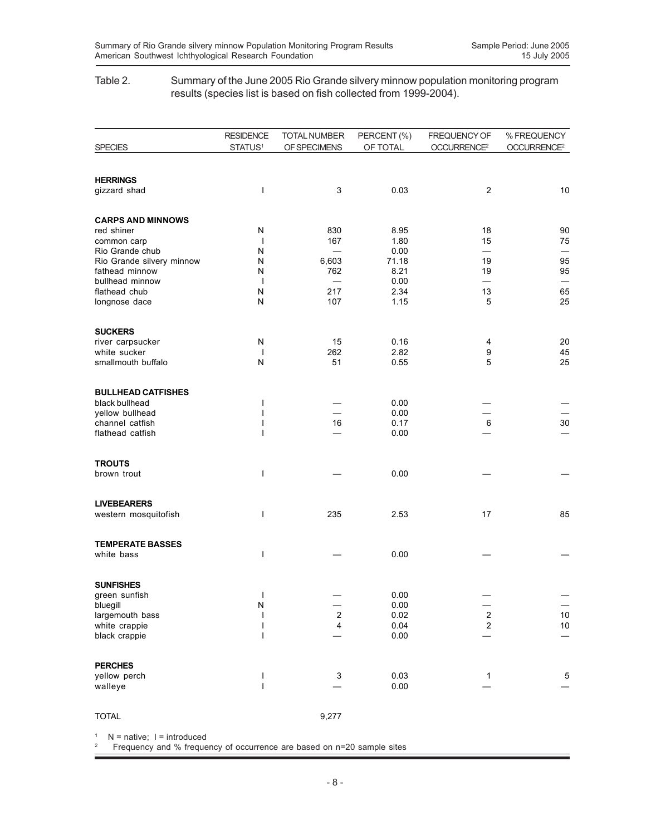#### Table 2. Summary of the June 2005 Rio Grande silvery minnow population monitoring program results (species list is based on fish collected from 1999-2004).

|                                              | <b>RESIDENCE</b>         | <b>TOTAL NUMBER</b>     | PERCENT (%)   | FREQUENCY OF             | % FREQUENCY             |
|----------------------------------------------|--------------------------|-------------------------|---------------|--------------------------|-------------------------|
| <b>SPECIES</b>                               | STATUS <sup>1</sup>      | OF SPECIMENS            | OF TOTAL      | OCCURRENCE <sup>2</sup>  | OCCURRENCE <sup>2</sup> |
|                                              |                          |                         |               |                          |                         |
| <b>HERRINGS</b><br>gizzard shad              | ı                        | 3                       | 0.03          | $\overline{2}$           | 10                      |
|                                              |                          |                         |               |                          |                         |
| <b>CARPS AND MINNOWS</b>                     |                          |                         |               |                          |                         |
| red shiner                                   | N                        | 830                     | 8.95          | 18                       | 90                      |
| common carp                                  | $\overline{\phantom{a}}$ | 167                     | 1.80          | 15                       | 75                      |
| Rio Grande chub<br>Rio Grande silvery minnow | N<br>Ν                   | 6,603                   | 0.00<br>71.18 | 19                       | 95                      |
| fathead minnow                               | N                        | 762                     | 8.21          | 19                       | 95                      |
| bullhead minnow                              | $\mathbf{I}$             |                         | 0.00          | $\overline{\phantom{0}}$ |                         |
| flathead chub                                | N                        | 217                     | 2.34          | 13                       | 65                      |
| longnose dace                                | ${\sf N}$                | 107                     | 1.15          | 5                        | 25                      |
| <b>SUCKERS</b>                               |                          |                         |               |                          |                         |
| river carpsucker                             | N                        | 15                      | 0.16          | 4                        | 20                      |
| white sucker                                 | ı                        | 262                     | 2.82          | 9                        | 45                      |
| smallmouth buffalo                           | ${\sf N}$                | 51                      | 0.55          | 5                        | 25                      |
| <b>BULLHEAD CATFISHES</b>                    |                          |                         |               |                          |                         |
| black bullhead                               | ı                        |                         | 0.00          |                          |                         |
| yellow bullhead<br>channel catfish           | ı                        | 16                      | 0.00<br>0.17  | 6                        | 30                      |
| flathead catfish                             |                          |                         | 0.00          |                          |                         |
|                                              |                          |                         |               |                          |                         |
| <b>TROUTS</b>                                |                          |                         |               |                          |                         |
| brown trout                                  | I                        |                         | 0.00          |                          |                         |
| <b>LIVEBEARERS</b>                           |                          |                         |               |                          |                         |
| western mosquitofish                         | I                        | 235                     | 2.53          | 17                       | 85                      |
| <b>TEMPERATE BASSES</b>                      |                          |                         |               |                          |                         |
| white bass                                   | ı                        |                         | 0.00          |                          |                         |
| <b>SUNFISHES</b>                             |                          |                         |               |                          |                         |
| green sunfish                                | ı                        |                         | 0.00          |                          |                         |
| bluegill                                     | N                        |                         | 0.00          |                          |                         |
| largemouth bass                              |                          | $\overline{\mathbf{c}}$ | 0.02          | $\overline{c}$           | 10                      |
| white crappie<br>black crappie               | ı<br>ı                   | 4                       | 0.04<br>0.00  | $\overline{c}$           | $10\,$                  |
|                                              |                          |                         |               |                          |                         |
| <b>PERCHES</b>                               |                          |                         |               |                          |                         |
| yellow perch                                 | ı                        | 3                       | 0.03          | 1                        | 5                       |
| walleye                                      | $\overline{1}$           |                         | 0.00          |                          |                         |
| <b>TOTAL</b>                                 |                          | 9,277                   |               |                          |                         |

 $1$  N = native; I = introduced

2 Frequency and % frequency of occurrence are based on n=20 sample sites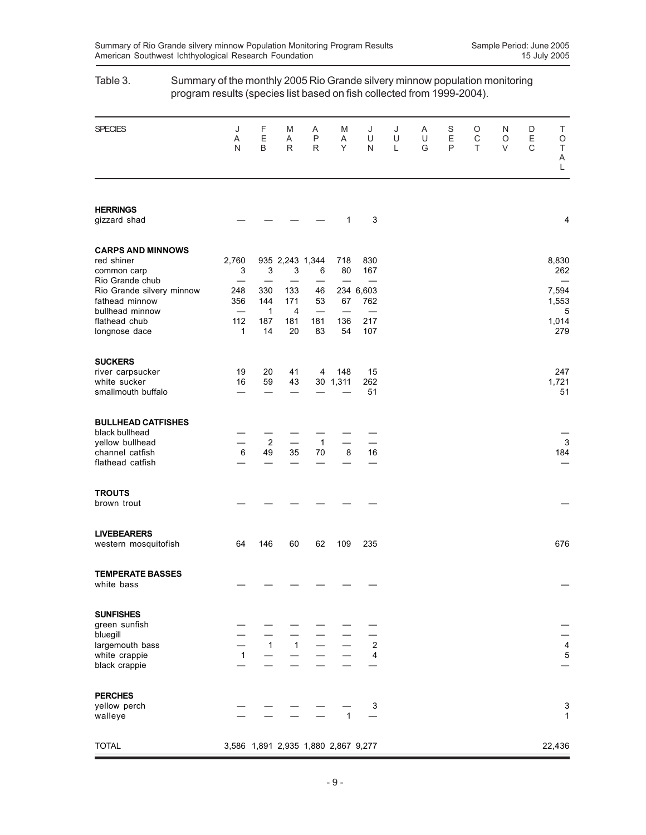| program results (species list based on fish collected from 1999-2004).                             |                                   |                                         |                              |                                                            |                 |                                  |             |             |                        |             |             |             |                                      |
|----------------------------------------------------------------------------------------------------|-----------------------------------|-----------------------------------------|------------------------------|------------------------------------------------------------|-----------------|----------------------------------|-------------|-------------|------------------------|-------------|-------------|-------------|--------------------------------------|
| <b>SPECIES</b>                                                                                     | J<br>Α<br>N                       | F<br>E<br>$\sf B$                       | M<br>Α<br>R                  | Α<br>P<br>$\mathsf{R}$                                     | M<br>Α<br>Y     | J<br>U<br>N                      | J<br>U<br>L | Α<br>U<br>G | S<br>E<br>$\mathsf{P}$ | O<br>С<br>T | N<br>O<br>V | D<br>E<br>C | Τ<br>O<br>$\top$<br>Α<br>$\mathsf L$ |
| <b>HERRINGS</b><br>gizzard shad                                                                    |                                   |                                         |                              |                                                            | 1               | 3                                |             |             |                        |             |             |             | 4                                    |
| <b>CARPS AND MINNOWS</b><br>red shiner<br>common carp                                              | 2,760<br>3                        | 3                                       | 3                            | 935 2,243 1,344<br>6                                       | 718<br>80       | 830<br>167                       |             |             |                        |             |             |             | 8,830<br>262                         |
| Rio Grande chub<br>Rio Grande silvery minnow<br>fathead minnow<br>bullhead minnow<br>flathead chub | 248<br>356<br>112<br>$\mathbf{1}$ | 330<br>144<br>$\mathbf{1}$<br>187<br>14 | 133<br>171<br>4<br>181<br>20 | 46<br>53<br>$\overbrace{\phantom{123221111}}$<br>181<br>83 | 67<br>136<br>54 | 234 6,603<br>762<br>217<br>107   |             |             |                        |             |             |             | 7,594<br>1,553<br>5<br>1,014<br>279  |
| longnose dace<br><b>SUCKERS</b><br>river carpsucker<br>white sucker                                | 19<br>16                          | 20<br>59                                | 41<br>43                     | 4                                                          | 148<br>30 1,311 | 15<br>262                        |             |             |                        |             |             |             | 247<br>1,721                         |
| smallmouth buffalo<br><b>BULLHEAD CATFISHES</b>                                                    |                                   |                                         |                              |                                                            |                 | 51                               |             |             |                        |             |             |             | 51                                   |
| black bullhead<br>yellow bullhead<br>channel catfish<br>flathead catfish                           | $\,6\,$                           | $\overline{2}$<br>49                    | 35                           | $\mathbf{1}$<br>70                                         | 8               | 16                               |             |             |                        |             |             |             | 3<br>184                             |
| <b>TROUTS</b><br>brown trout                                                                       |                                   |                                         |                              |                                                            |                 |                                  |             |             |                        |             |             |             |                                      |
| <b>LIVEBEARERS</b><br>western mosquitofish                                                         | 64                                | 146                                     | 60                           | 62                                                         | 109             | 235                              |             |             |                        |             |             |             | 676                                  |
| <b>TEMPERATE BASSES</b><br>white bass                                                              |                                   |                                         |                              |                                                            |                 |                                  |             |             |                        |             |             |             |                                      |
| <b>SUNFISHES</b><br>green sunfish<br>bluegill<br>largemouth bass<br>white crappie<br>black crappie | $\mathbf{1}$                      | $\overline{1}$                          | $1 -$                        |                                                            |                 | $\overline{c}$<br>$\overline{4}$ |             |             |                        |             |             |             | $\frac{4}{5}$                        |
| <b>PERCHES</b><br>yellow perch<br>walleye                                                          |                                   |                                         |                              |                                                            | $\mathbf{1}$    | 3                                |             |             |                        |             |             |             | 3<br>1                               |
| <b>TOTAL</b>                                                                                       |                                   |                                         |                              | 3,586 1,891 2,935 1,880 2,867 9,277                        |                 |                                  |             |             |                        |             |             |             | 22,436                               |

# Table 3. Summary of the monthly 2005 Rio Grande silvery minnow population monitoring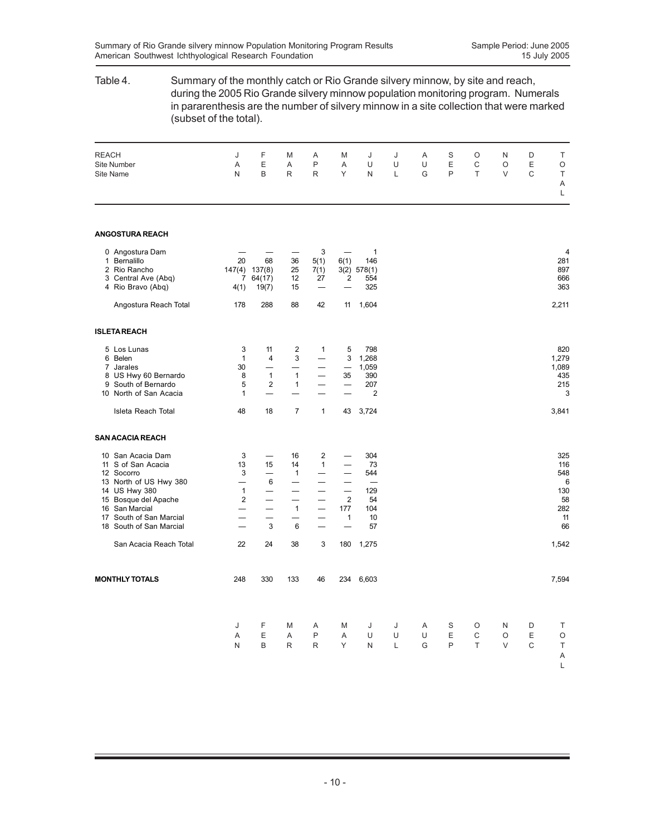| Table 4.                                                                                                                                                                                         | Summary of the monthly catch or Rio Grande silvery minnow, by site and reach,<br>during the 2005 Rio Grande silvery minnow population monitoring program. Numerals<br>in pararenthesis are the number of silvery minnow in a site collection that were marked<br>(subset of the total). |                                                          |                                              |                                                     |                                                                   |                                                       |             |             |             |              |                  |                       |                                                        |
|--------------------------------------------------------------------------------------------------------------------------------------------------------------------------------------------------|-----------------------------------------------------------------------------------------------------------------------------------------------------------------------------------------------------------------------------------------------------------------------------------------|----------------------------------------------------------|----------------------------------------------|-----------------------------------------------------|-------------------------------------------------------------------|-------------------------------------------------------|-------------|-------------|-------------|--------------|------------------|-----------------------|--------------------------------------------------------|
| <b>REACH</b><br><b>Site Number</b><br><b>Site Name</b>                                                                                                                                           | J<br>Α<br>N                                                                                                                                                                                                                                                                             | F<br>Ε<br>B                                              | M<br>Α<br>R                                  | Α<br>P<br>R                                         | M<br>Α<br>Υ                                                       | J<br>U<br>N                                           | J<br>U<br>L | Α<br>U<br>G | S<br>Ε<br>P | O<br>С<br>T  | N<br>O<br>V      | D<br>$\mathsf E$<br>C | Т<br>O<br>Τ<br>Α<br>L                                  |
| <b>ANGOSTURA REACH</b>                                                                                                                                                                           |                                                                                                                                                                                                                                                                                         |                                                          |                                              |                                                     |                                                                   |                                                       |             |             |             |              |                  |                       |                                                        |
| 0 Angostura Dam<br>1 Bernalillo<br>2 Rio Rancho<br>3 Central Ave (Abq)<br>4 Rio Bravo (Abq)                                                                                                      | 20<br>4(1)                                                                                                                                                                                                                                                                              | 68<br>147(4) 137(8)<br>7 64(17)<br>19(7)                 | 36<br>25<br>12<br>15                         | 3<br>5(1)<br>7(1)<br>27<br>$\overline{\phantom{0}}$ | 6(1)<br>2                                                         | 1<br>146<br>3(2) 578(1)<br>554<br>325                 |             |             |             |              |                  |                       | 4<br>281<br>897<br>666<br>363                          |
| Angostura Reach Total                                                                                                                                                                            | 178                                                                                                                                                                                                                                                                                     | 288                                                      | 88                                           | 42                                                  | 11                                                                | 1,604                                                 |             |             |             |              |                  |                       | 2,211                                                  |
| <b>ISLETAREACH</b>                                                                                                                                                                               |                                                                                                                                                                                                                                                                                         |                                                          |                                              |                                                     |                                                                   |                                                       |             |             |             |              |                  |                       |                                                        |
| 5 Los Lunas<br>6 Belen<br>7 Jarales<br>8 US Hwy 60 Bernardo<br>9 South of Bernardo<br>10 North of San Acacia                                                                                     | 3<br>1<br>30<br>8<br>5<br>1                                                                                                                                                                                                                                                             | 11<br>4<br>$\mathbf{1}$<br>2<br>$\overline{\phantom{0}}$ | 2<br>3<br>$\mathbf{1}$<br>$\mathbf{1}$<br>÷. | 1                                                   | 5<br>3<br>35<br>$\overline{\phantom{0}}$                          | 798<br>1,268<br>1,059<br>390<br>207<br>$\overline{2}$ |             |             |             |              |                  |                       | 820<br>1,279<br>1,089<br>435<br>215<br>3               |
| Isleta Reach Total                                                                                                                                                                               | 48                                                                                                                                                                                                                                                                                      | 18                                                       | 7                                            | $\mathbf{1}$                                        | 43                                                                | 3,724                                                 |             |             |             |              |                  |                       | 3,841                                                  |
| <b>SAN ACACIA REACH</b>                                                                                                                                                                          |                                                                                                                                                                                                                                                                                         |                                                          |                                              |                                                     |                                                                   |                                                       |             |             |             |              |                  |                       |                                                        |
| 10 San Acacia Dam<br>11 S of San Acacia<br>12 Socorro<br>13 North of US Hwy 380<br>14 US Hwy 380<br>15 Bosque del Apache<br>16 San Marcial<br>17 South of San Marcial<br>18 South of San Marcial | 3<br>13<br>3<br>$\mathbf{1}$<br>2<br>—<br>$\overline{\phantom{0}}$                                                                                                                                                                                                                      | 15<br>6<br>$\overline{\phantom{0}}$<br>3                 | 16<br>14<br>1<br>—<br>$\mathbf{1}$<br>6      | 2<br>1<br>—<br>$\overline{\phantom{0}}$             | $\overline{2}$<br>177<br>$\mathbf{1}$<br>$\overline{\phantom{0}}$ | 304<br>73<br>544<br>129<br>54<br>104<br>10<br>57      |             |             |             |              |                  |                       | 325<br>116<br>548<br>6<br>130<br>58<br>282<br>11<br>66 |
| San Acacia Reach Total                                                                                                                                                                           | 22                                                                                                                                                                                                                                                                                      | 24                                                       | 38                                           | 3                                                   | 180                                                               | 1,275                                                 |             |             |             |              |                  |                       | 1,542                                                  |
| <b>MONTHLY TOTALS</b>                                                                                                                                                                            | 248                                                                                                                                                                                                                                                                                     | 330                                                      | 133                                          | 46                                                  |                                                                   | 234 6,603                                             |             |             |             |              |                  |                       | 7,594                                                  |
|                                                                                                                                                                                                  | J<br>Α<br>N                                                                                                                                                                                                                                                                             | F<br>Ε<br>B                                              | M<br>Α<br>R                                  | Α<br>P<br>R                                         | M<br>Α<br>Y                                                       | J<br>U<br>N                                           | J<br>U<br>L | Α<br>U<br>G | S<br>Ε<br>P | O<br>С<br>T. | N<br>O<br>$\vee$ | D<br>Ε<br>C           | Т<br>$\circ$<br>$\top$<br>Α<br>L                       |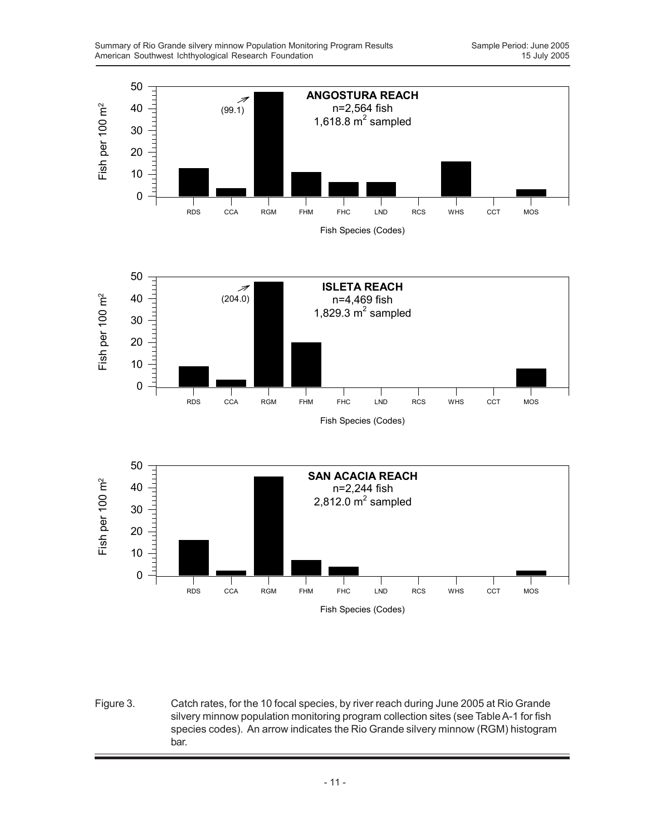

Figure 3. Catch rates, for the 10 focal species, by river reach during June 2005 at Rio Grande silvery minnow population monitoring program collection sites (see Table A-1 for fish species codes). An arrow indicates the Rio Grande silvery minnow (RGM) histogram bar.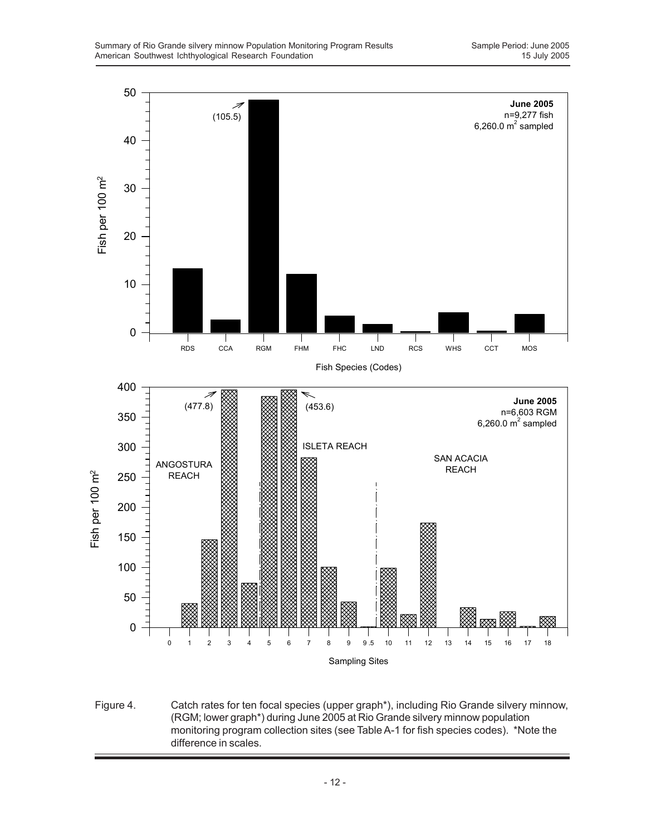

Figure 4. Catch rates for ten focal species (upper graph\*), including Rio Grande silvery minnow, (RGM; lower graph\*) during June 2005 at Rio Grande silvery minnow population monitoring program collection sites (see Table A-1 for fish species codes). \*Note the difference in scales.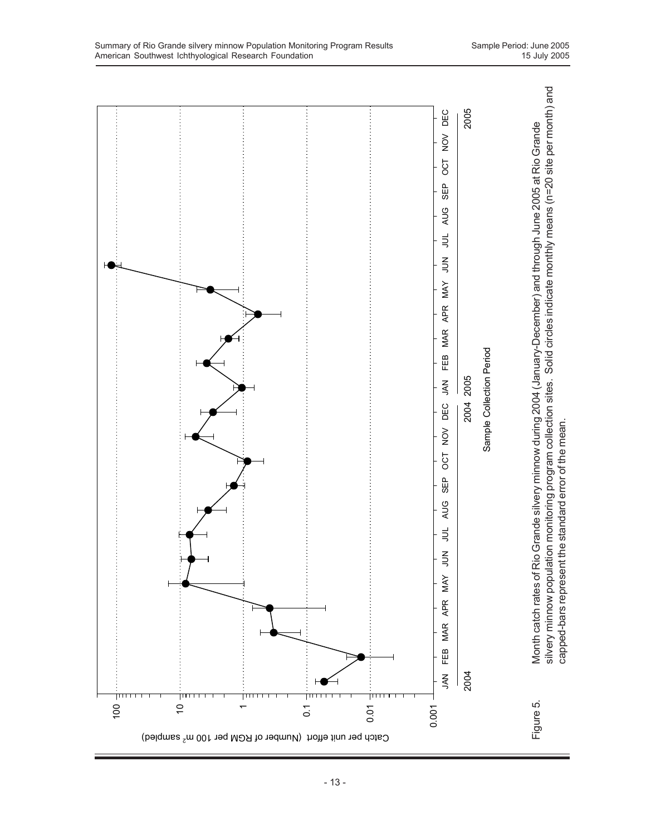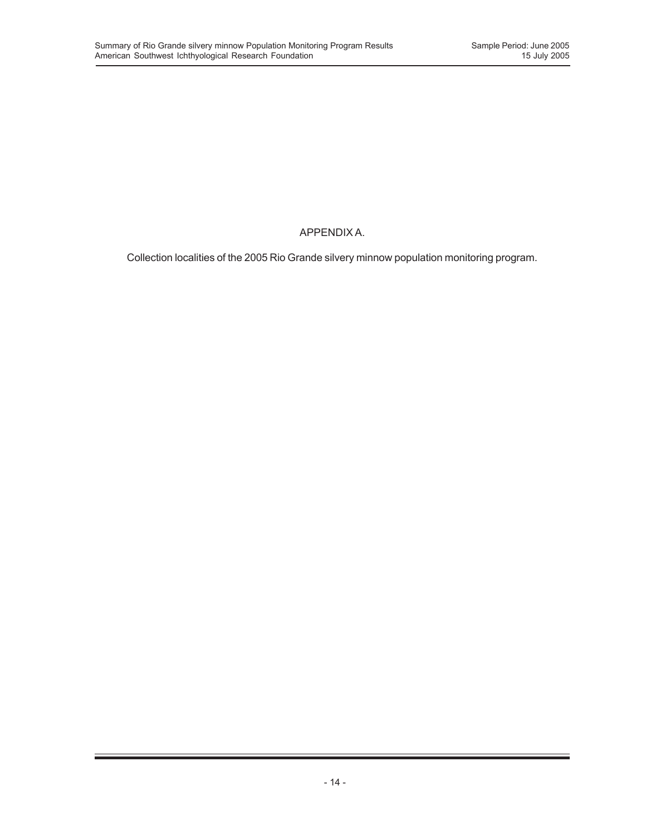## APPENDIX A.

Collection localities of the 2005 Rio Grande silvery minnow population monitoring program.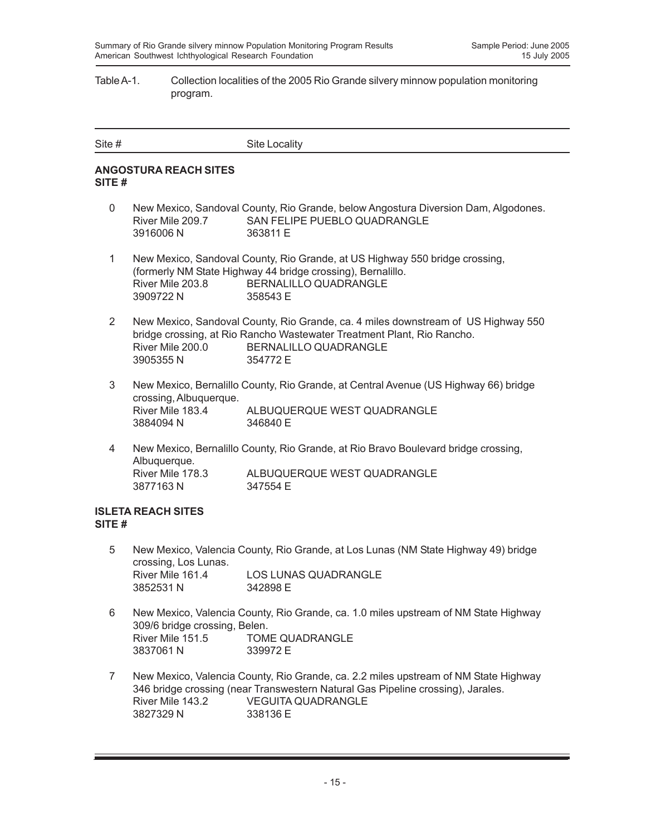#### Table A-1. Collection localities of the 2005 Rio Grande silvery minnow population monitoring program.

| Site # | <b>Site Locality</b> |
|--------|----------------------|
|        |                      |

#### **ANGOSTURA REACH SITES SITE #**

- 0 New Mexico, Sandoval County, Rio Grande, below Angostura Diversion Dam, Algodones. River Mile 209.7 SAN FELIPE PUEBLO QUADRANGLE 3916006 N 363811 E
- 1 New Mexico, Sandoval County, Rio Grande, at US Highway 550 bridge crossing, (formerly NM State Highway 44 bridge crossing), Bernalillo. River Mile 203.8 BERNALILLO QUADRANGLE 3909722 N 358543 E
- 2 New Mexico, Sandoval County, Rio Grande, ca. 4 miles downstream of US Highway 550 bridge crossing, at Rio Rancho Wastewater Treatment Plant, Rio Rancho. River Mile 200.0 BERNALILLO QUADRANGLE 3905355 N 354772 E
- 3 New Mexico, Bernalillo County, Rio Grande, at Central Avenue (US Highway 66) bridge crossing, Albuquerque. ALBUQUERQUE WEST QUADRANGLE 3884094 N 346840 E
- 4 New Mexico, Bernalillo County, Rio Grande, at Rio Bravo Boulevard bridge crossing, Albuquerque. River Mile 178.3 ALBUQUERQUE WEST QUADRANGLE 3877163 N 347554 E

#### **ISLETA REACH SITES SITE #**

- 5 New Mexico, Valencia County, Rio Grande, at Los Lunas (NM State Highway 49) bridge crossing, Los Lunas. River Mile 161.4 LOS LUNAS QUADRANGLE 3852531 N 342898 E
- 6 New Mexico, Valencia County, Rio Grande, ca. 1.0 miles upstream of NM State Highway 309/6 bridge crossing, Belen. River Mile 151.5 TOME QUADRANGLE 3837061 N 339972 E
- 7 New Mexico, Valencia County, Rio Grande, ca. 2.2 miles upstream of NM State Highway 346 bridge crossing (near Transwestern Natural Gas Pipeline crossing), Jarales. River Mile 143.2 VEGUITA QUADRANGLE 3827329 N 338136 E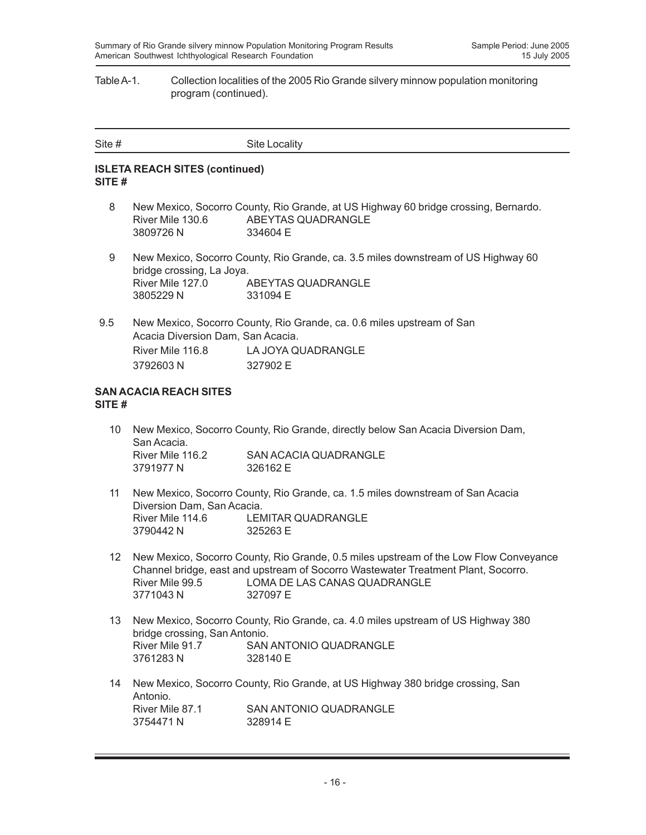#### Table A-1. Collection localities of the 2005 Rio Grande silvery minnow population monitoring program (continued).

| Site # | Site Locality |
|--------|---------------|
|        |               |

#### **ISLETA REACH SITES (continued) SITE #**

- 8 New Mexico, Socorro County, Rio Grande, at US Highway 60 bridge crossing, Bernardo. River Mile 130.6 ABEYTAS QUADRANGLE 3809726 N 334604 E
- 9 New Mexico, Socorro County, Rio Grande, ca. 3.5 miles downstream of US Highway 60 bridge crossing, La Joya. River Mile 127.0 ABEYTAS QUADRANGLE 3805229 N 331094 E
- 9.5 New Mexico, Socorro County, Rio Grande, ca. 0.6 miles upstream of San Acacia Diversion Dam, San Acacia. River Mile 116.8 LA JOYA QUADRANGLE 3792603 N 327902 E

#### **SAN ACACIA REACH SITES SITE #**

- 10 New Mexico, Socorro County, Rio Grande, directly below San Acacia Diversion Dam, San Acacia. River Mile 116.2 SAN ACACIA QUADRANGLE 3791977 N 326162 E
- 11 New Mexico, Socorro County, Rio Grande, ca. 1.5 miles downstream of San Acacia Diversion Dam, San Acacia. River Mile 114.6 LEMITAR QUADRANGLE 3790442 N 325263 E
- 12 New Mexico, Socorro County, Rio Grande, 0.5 miles upstream of the Low Flow Conveyance Channel bridge, east and upstream of Socorro Wastewater Treatment Plant, Socorro. River Mile 99.5 LOMA DE LAS CANAS QUADRANGLE 3771043 N 327097 E
- 13 New Mexico, Socorro County, Rio Grande, ca. 4.0 miles upstream of US Highway 380 bridge crossing, San Antonio. River Mile 91.7 SAN ANTONIO QUADRANGLE 3761283 N 328140 E
- 14 New Mexico, Socorro County, Rio Grande, at US Highway 380 bridge crossing, San Antonio.<br>River Mile 87.1 SAN ANTONIO QUADRANGLE 3754471 N 328914 F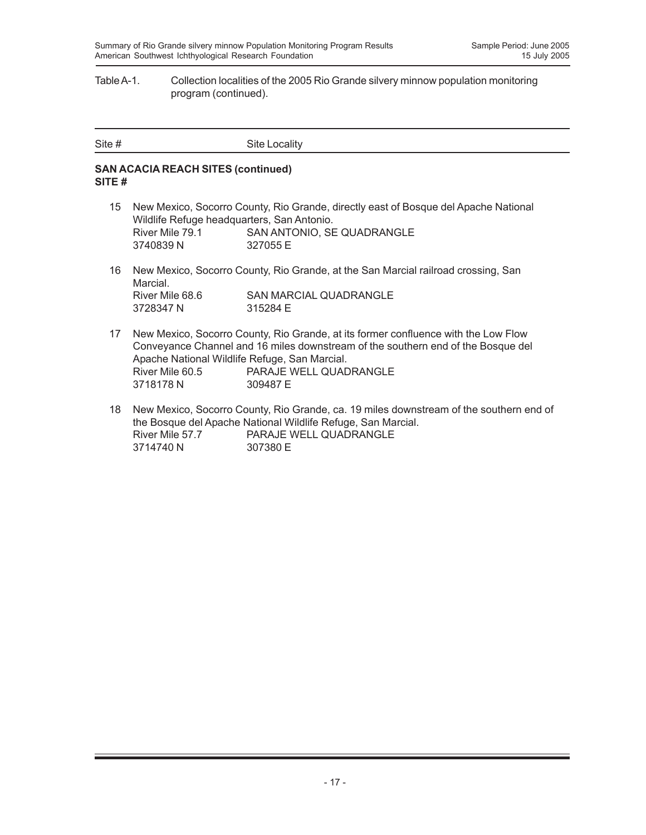#### Table A-1. Collection localities of the 2005 Rio Grande silvery minnow population monitoring program (continued).

| Site # | Site Locality |
|--------|---------------|

#### **SAN ACACIA REACH SITES (continued) SITE #**

- 15 New Mexico, Socorro County, Rio Grande, directly east of Bosque del Apache National Wildlife Refuge headquarters, San Antonio. River Mile 79.1 SAN ANTONIO, SE QUADRANGLE 3740839 N 327055 E
- 16 New Mexico, Socorro County, Rio Grande, at the San Marcial railroad crossing, San Marcial. River Mile 68.6 SAN MARCIAL QUADRANGLE<br>3728347 N 315284 E 3728347 N
- 17 New Mexico, Socorro County, Rio Grande, at its former confluence with the Low Flow Conveyance Channel and 16 miles downstream of the southern end of the Bosque del Apache National Wildlife Refuge, San Marcial. River Mile 60.5 PARAJE WELL QUADRANGLE 3718178 N 309487 E
- 18 New Mexico, Socorro County, Rio Grande, ca. 19 miles downstream of the southern end of the Bosque del Apache National Wildlife Refuge, San Marcial. River Mile 57.7 PARAJE WELL QUADRANGLE 3714740 N 307380 E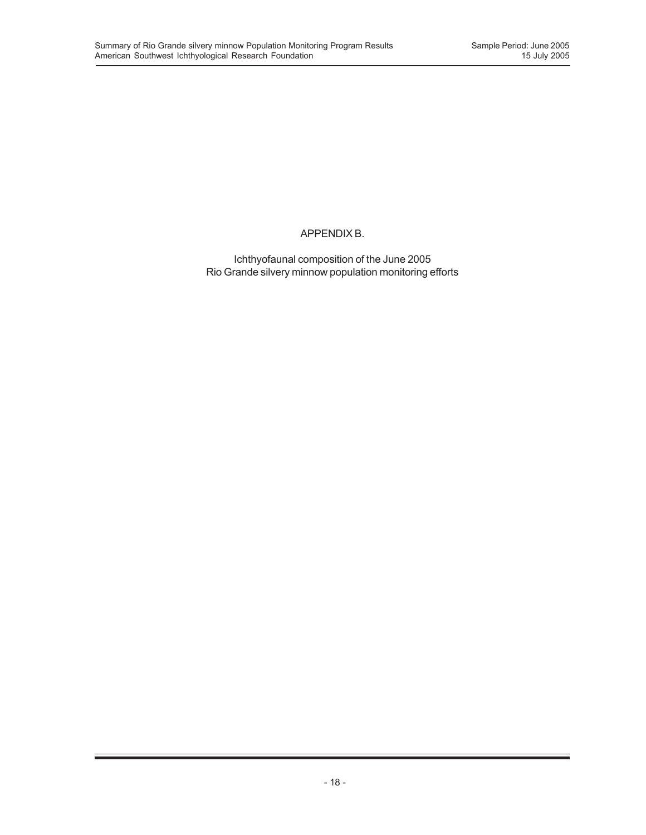## APPENDIX B.

Ichthyofaunal composition of the June 2005 Rio Grande silvery minnow population monitoring efforts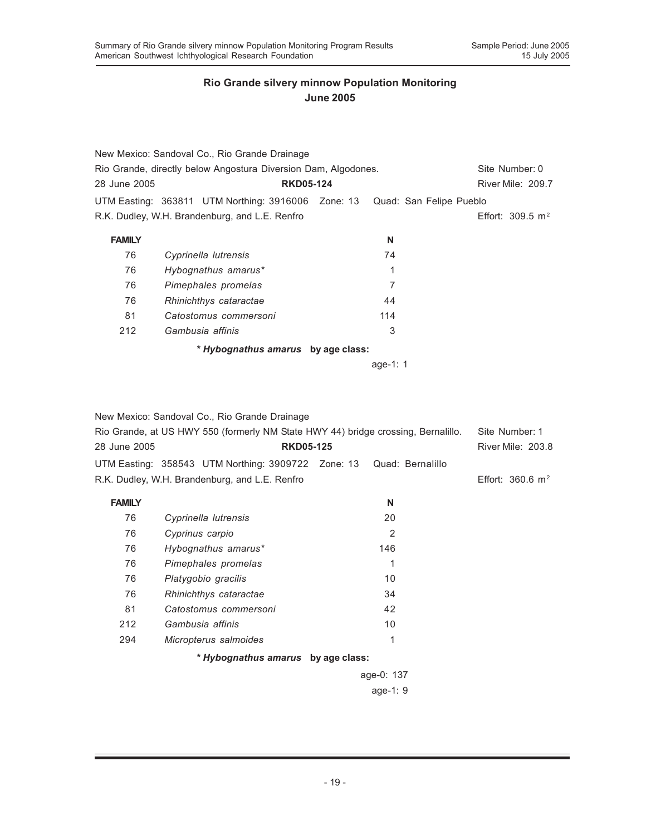|                                                                | New Mexico: Sandoval Co., Rio Grande Drainage      |                         |                    |
|----------------------------------------------------------------|----------------------------------------------------|-------------------------|--------------------|
| Rio Grande, directly below Angostura Diversion Dam, Algodones. | Site Number: 0                                     |                         |                    |
| 28 June 2005                                                   | <b>RKD05-124</b>                                   | River Mile: 209.7       |                    |
|                                                                | UTM Easting: 363811 UTM Northing: 3916006 Zone: 13 | Quad: San Felipe Pueblo |                    |
|                                                                | R.K. Dudley, W.H. Brandenburg, and L.E. Renfro     |                         | Effort: 309.5 $m2$ |
| <b>FAMILY</b>                                                  |                                                    | N                       |                    |
| 76                                                             | Cyprinella lutrensis                               | 74                      |                    |
| 76                                                             | Hybognathus amarus*                                | 1                       |                    |
| 76                                                             | Pimephales promelas                                | 7                       |                    |
| 76                                                             | Rhinichthys cataractae                             | 44                      |                    |
| 81                                                             | Catostomus commersoni                              | 114                     |                    |
| 212                                                            | Gambusia affinis                                   | 3                       |                    |
|                                                                | * Hybognathus amarus by age class:                 |                         |                    |
|                                                                |                                                    | age-1: $1$              |                    |
|                                                                |                                                    |                         |                    |

New Mexico: Sandoval Co., Rio Grande Drainage Rio Grande, at US HWY 550 (formerly NM State HWY 44) bridge crossing, Bernalillo. Site Number: 1 28 June 2005 **RKD05-125** River Mile: 203.8 UTM Easting: 358543 UTM Northing: 3909722 Zone: 13 Quad: Bernalillo R.K. Dudley, W.H. Brandenburg, and L.E. Renfro **Effort:** 360.6 m<sup>2</sup> **FAMILY N** 76 *Cyprinella lutrensis* 20 76 *Cyprinus carpio* 2 76 *Hybognathus amarus\** 146 76 *Pimephales promelas* 1 76 *Platygobio gracilis* 10 76 *Rhinichthys cataractae* 34 81 *Catostomus commersoni* 42 212 *Gambusia affinis* 10 294 *Micropterus salmoides* 1 *\* Hybognathus amarus* **by age class:** age-0: 137 age-1: 9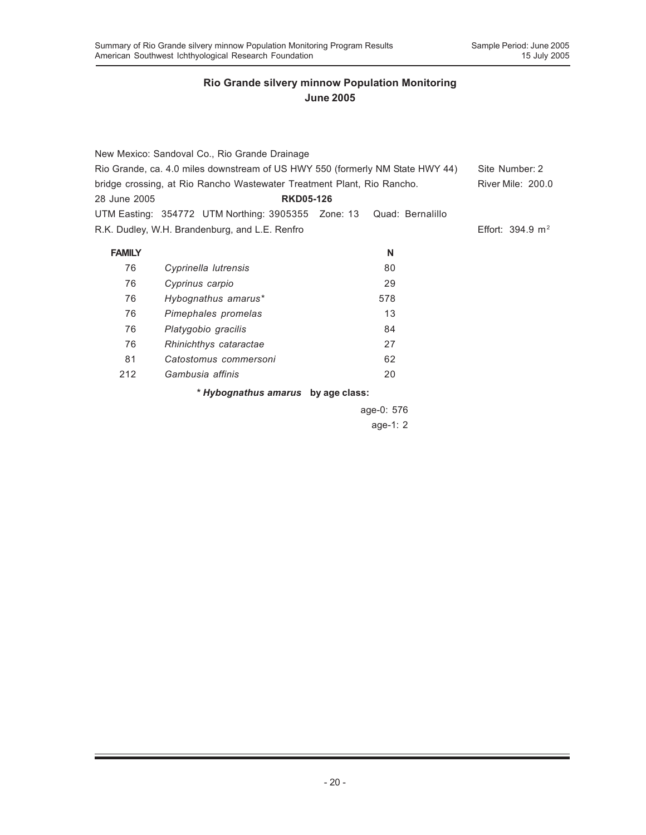| New Mexico: Sandoval Co., Rio Grande Drainage                                 |                                                                        |                  |                             |  |  |
|-------------------------------------------------------------------------------|------------------------------------------------------------------------|------------------|-----------------------------|--|--|
| Rio Grande, ca. 4.0 miles downstream of US HWY 550 (formerly NM State HWY 44) | Site Number: 2                                                         |                  |                             |  |  |
|                                                                               | bridge crossing, at Rio Rancho Wastewater Treatment Plant, Rio Rancho. |                  | <b>River Mile: 200.0</b>    |  |  |
| 28 June 2005                                                                  | <b>RKD05-126</b>                                                       |                  |                             |  |  |
|                                                                               | UTM Easting: 354772 UTM Northing: 3905355 Zone: 13                     | Quad: Bernalillo |                             |  |  |
|                                                                               | R.K. Dudley, W.H. Brandenburg, and L.E. Renfro                         |                  | Effort: $394.9 \text{ m}^2$ |  |  |
| <b>FAMILY</b>                                                                 |                                                                        | N                |                             |  |  |
| 76                                                                            | Cyprinella lutrensis                                                   | 80               |                             |  |  |
| 76                                                                            | Cyprinus carpio                                                        | 29               |                             |  |  |
| 76                                                                            | Hybognathus amarus*                                                    | 578              |                             |  |  |
| 76                                                                            | Pimephales promelas                                                    | 13               |                             |  |  |
| 76                                                                            | Platygobio gracilis                                                    | 84               |                             |  |  |
| 76                                                                            | Rhinichthys cataractae                                                 | 27               |                             |  |  |
| 81                                                                            | Catostomus commersoni                                                  | 62               |                             |  |  |
| 212                                                                           | Gambusia affinis                                                       | 20               |                             |  |  |
|                                                                               | * Hybognathus amarus by age class:                                     |                  |                             |  |  |
|                                                                               |                                                                        | age-0: 576       |                             |  |  |

age-1: 2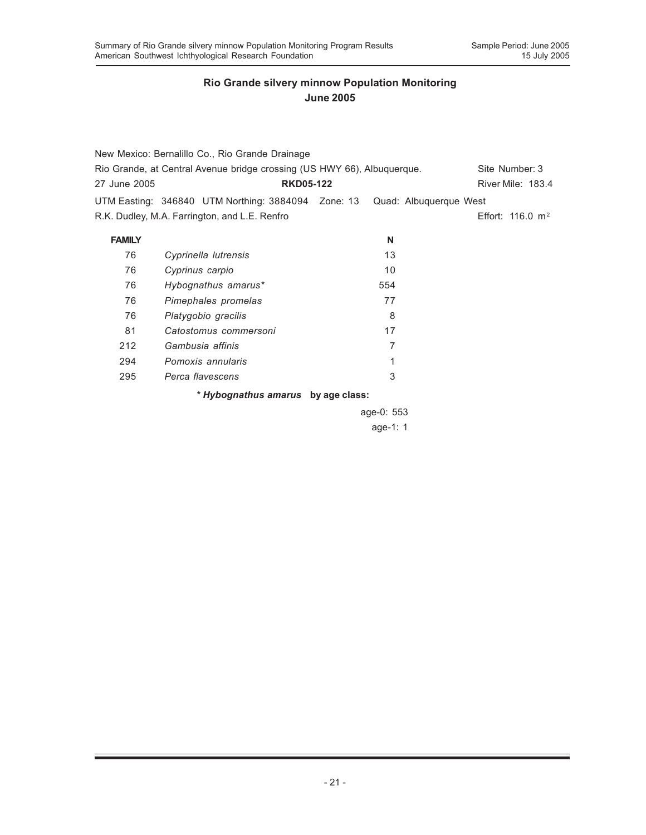| New Mexico: Bernalillo Co., Rio Grande Drainage                         |                                                                           |                   |                              |  |  |
|-------------------------------------------------------------------------|---------------------------------------------------------------------------|-------------------|------------------------------|--|--|
| Rio Grande, at Central Avenue bridge crossing (US HWY 66), Albuquerque. | Site Number: 3                                                            |                   |                              |  |  |
| 27 June 2005                                                            | <b>RKD05-122</b>                                                          | River Mile: 183.4 |                              |  |  |
|                                                                         | UTM Easting: 346840 UTM Northing: 3884094 Zone: 13 Quad: Albuquerque West |                   |                              |  |  |
|                                                                         | R.K. Dudley, M.A. Farrington, and L.E. Renfro                             |                   | Effort: 116.0 m <sup>2</sup> |  |  |
| <b>FAMILY</b>                                                           |                                                                           | N                 |                              |  |  |
| 76                                                                      | Cyprinella lutrensis                                                      | 13                |                              |  |  |
| 76                                                                      | Cyprinus carpio                                                           | 10                |                              |  |  |
| 76                                                                      | Hybognathus amarus*                                                       | 554               |                              |  |  |
| 76                                                                      | Pimephales promelas                                                       | 77                |                              |  |  |
| 76                                                                      | Platygobio gracilis                                                       | 8                 |                              |  |  |
| 81                                                                      | Catostomus commersoni                                                     | 17                |                              |  |  |
| 212                                                                     | Gambusia affinis                                                          | 7                 |                              |  |  |
| 294                                                                     | Pomoxis annularis                                                         | 1                 |                              |  |  |
| 295                                                                     | Perca flavescens                                                          | 3                 |                              |  |  |
|                                                                         | * Hybognathus amarus by age class:                                        |                   |                              |  |  |

age-0: 553 age-1: 1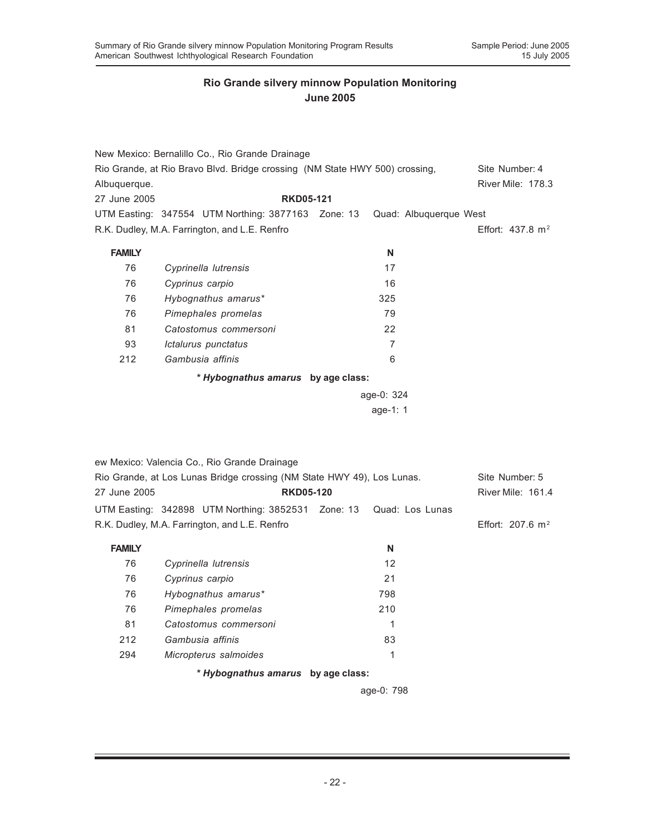|               | New Mexico: Bernalillo Co., Rio Grande Drainage                             |                          |                             |
|---------------|-----------------------------------------------------------------------------|--------------------------|-----------------------------|
|               | Rio Grande, at Rio Bravo Blvd. Bridge crossing (NM State HWY 500) crossing, |                          | Site Number: 4              |
| Albuquerque.  |                                                                             |                          | <b>River Mile: 178.3</b>    |
| 27 June 2005  | <b>RKD05-121</b>                                                            |                          |                             |
|               | UTM Easting: 347554 UTM Northing: 3877163 Zone: 13                          |                          | Quad: Albuquerque West      |
|               | R.K. Dudley, M.A. Farrington, and L.E. Renfro                               |                          | Effort: $437.8 \text{ m}^2$ |
| <b>FAMILY</b> |                                                                             | N                        |                             |
| 76            | Cyprinella lutrensis                                                        | 17                       |                             |
| 76            | Cyprinus carpio                                                             | 16                       |                             |
| 76            | Hybognathus amarus*                                                         | 325                      |                             |
| 76            | Pimephales promelas                                                         | 79                       |                             |
| 81            | Catostomus commersoni                                                       | 22                       |                             |
| 93            | Ictalurus punctatus                                                         | $\overline{7}$           |                             |
| 212           | Gambusia affinis                                                            | 6                        |                             |
|               | * Hybognathus amarus by age class:                                          |                          |                             |
|               |                                                                             | age-0: 324               |                             |
|               |                                                                             | age-1: 1                 |                             |
|               | ew Mexico: Valencia Co., Rio Grande Drainage                                |                          |                             |
|               | Rio Grande, at Los Lunas Bridge crossing (NM State HWY 49), Los Lunas.      |                          | Site Number: 5              |
| 27 June 2005  | <b>RKD05-120</b>                                                            |                          | River Mile: 161.4           |
|               | UTM Easting: 342898 UTM Northing: 3852531                                   | Zone: 13 Quad: Los Lunas |                             |
|               | R.K. Dudley, M.A. Farrington, and L.E. Renfro                               |                          | Effort: 207.6 $m^2$         |
| <b>FAMILY</b> |                                                                             | N                        |                             |
| 76            | Cyprinella lutrensis                                                        | 12                       |                             |
| 76            | Cyprinus carpio                                                             | 21                       |                             |
| 76            | Hybognathus amarus*                                                         | 798                      |                             |
| 76            | Pimephales promelas                                                         | 210                      |                             |
| 81            | Catostomus commersoni                                                       | $\mathbf{1}$             |                             |
| 212           | Gambusia affinis                                                            | 83                       |                             |
| 294           | Micropterus salmoides                                                       | $\mathbf{1}$             |                             |
|               | * Hybognathus amarus by age class:                                          |                          |                             |
|               |                                                                             | age-0: 798               |                             |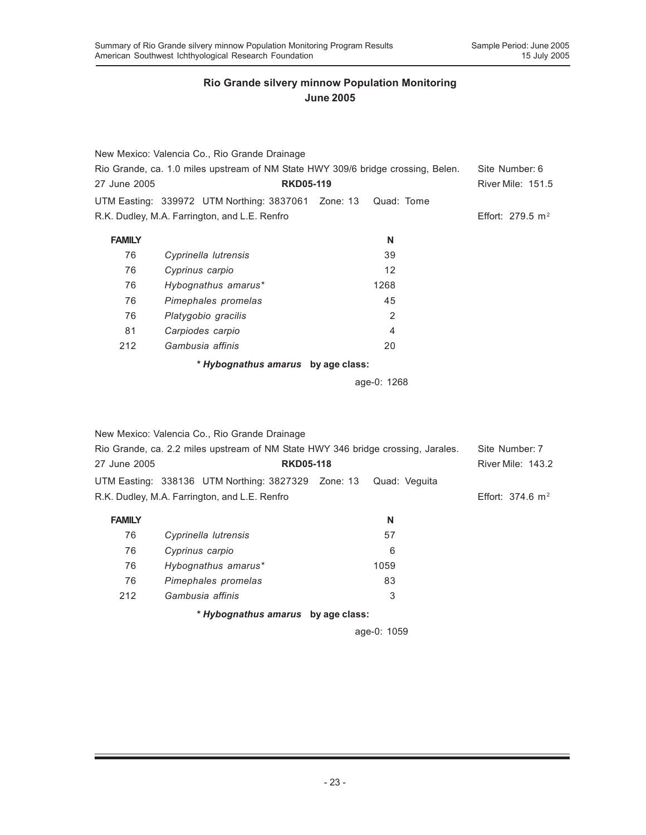|                                                                                  | New Mexico: Valencia Co., Rio Grande Drainage                                    |                  |                              |
|----------------------------------------------------------------------------------|----------------------------------------------------------------------------------|------------------|------------------------------|
| Rio Grande, ca. 1.0 miles upstream of NM State HWY 309/6 bridge crossing, Belen. | Site Number: 6                                                                   |                  |                              |
| 27 June 2005                                                                     |                                                                                  | <b>RKD05-119</b> |                              |
|                                                                                  | UTM Easting: 339972 UTM Northing: 3837061 Zone: 13                               | Quad: Tome       |                              |
|                                                                                  | R.K. Dudley, M.A. Farrington, and L.E. Renfro                                    |                  | Effort: 279.5 $m2$           |
| <b>FAMILY</b>                                                                    |                                                                                  | N                |                              |
| 76                                                                               | Cyprinella lutrensis                                                             | 39               |                              |
| 76                                                                               | Cyprinus carpio                                                                  | 12               |                              |
| 76                                                                               | Hybognathus amarus*                                                              | 1268             |                              |
| 76                                                                               | Pimephales promelas                                                              | 45               |                              |
| 76                                                                               | Platygobio gracilis                                                              | 2                |                              |
| 81                                                                               | Carpiodes carpio                                                                 | 4                |                              |
| 212                                                                              | Gambusia affinis                                                                 | 20               |                              |
|                                                                                  | * Hybognathus amarus by age class:                                               |                  |                              |
|                                                                                  |                                                                                  | age-0: 1268      |                              |
|                                                                                  | New Mexico: Valencia Co., Rio Grande Drainage                                    |                  |                              |
|                                                                                  | Rio Grande, ca. 2.2 miles upstream of NM State HWY 346 bridge crossing, Jarales. |                  | Site Number: 7               |
| 27 June 2005                                                                     | <b>RKD05-118</b>                                                                 |                  | River Mile: 143.2            |
|                                                                                  | UTM Easting: 338136 UTM Northing: 3827329 Zone: 13                               | Quad: Veguita    |                              |
|                                                                                  | R.K. Dudley, M.A. Farrington, and L.E. Renfro                                    |                  | Effort: 374.6 m <sup>2</sup> |
| <b>FAMILY</b>                                                                    |                                                                                  | N                |                              |
| 76                                                                               | Cyprinella lutrensis                                                             | 57               |                              |
| 76                                                                               | Cyprinus carpio                                                                  | 6                |                              |
| 76                                                                               | Hybognathus amarus*                                                              | 1059             |                              |
| 76                                                                               | Pimephales promelas                                                              | 83               |                              |

*\* Hybognathus amarus* **by age class:**

212 *Gambusia affinis* 3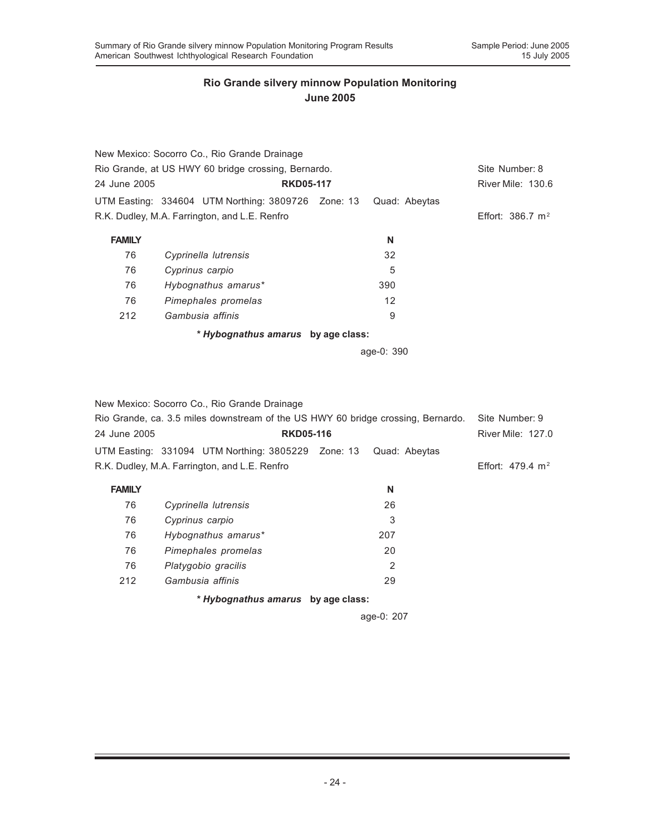| New Mexico: Socorro Co., Rio Grande Drainage                        |                             |
|---------------------------------------------------------------------|-----------------------------|
| Rio Grande, at US HWY 60 bridge crossing, Bernardo.                 | Site Number: 8              |
| 24 June 2005<br><b>RKD05-117</b>                                    | River Mile: 130.6           |
| UTM Easting: 334604 UTM Northing: 3809726 Zone: 13<br>Quad: Abeytas |                             |
| R.K. Dudley, M.A. Farrington, and L.E. Renfro                       | Effort: $386.7 \text{ m}^2$ |
| <b>FAMILY</b><br>N                                                  |                             |
| 32<br>76<br>Cyprinella lutrensis                                    |                             |
| 5<br>76<br>Cyprinus carpio                                          |                             |
| 76<br>Hybognathus amarus*<br>390                                    |                             |
| 76<br>12<br>Pimephales promelas                                     |                             |
| 212<br>Gambusia affinis<br>9                                        |                             |
| * Hybognathus amarus by age class:                                  |                             |
| age-0: 390                                                          |                             |

New Mexico: Socorro Co., Rio Grande Drainage

| Rio Grande, ca. 3.5 miles downstream of the US HWY 60 bridge crossing, Bernardo. |                                                    |  | Site Number: 9 |                          |
|----------------------------------------------------------------------------------|----------------------------------------------------|--|----------------|--------------------------|
| 24 June 2005                                                                     | <b>RKD05-116</b>                                   |  |                | <b>River Mile: 127.0</b> |
|                                                                                  | UTM Easting: 331094 UTM Northing: 3805229 Zone: 13 |  | Quad: Abeytas  |                          |
|                                                                                  | R.K. Dudley, M.A. Farrington, and L.E. Renfro      |  |                | Effort: 479.4 $m2$       |
| <b>FAMILY</b>                                                                    |                                                    |  | N              |                          |
| 76                                                                               | Cyprinella lutrensis                               |  | 26             |                          |
| 76                                                                               | Cyprinus carpio                                    |  | 3              |                          |
| 76                                                                               | Hybognathus amarus*                                |  | 207            |                          |
| 76                                                                               | Pimephales promelas                                |  | 20             |                          |
| 76                                                                               | Platygobio gracilis                                |  | 2              |                          |
| 212                                                                              | Gambusia affinis                                   |  | 29             |                          |
|                                                                                  | * Hybognathus amarus by age class:                 |  |                |                          |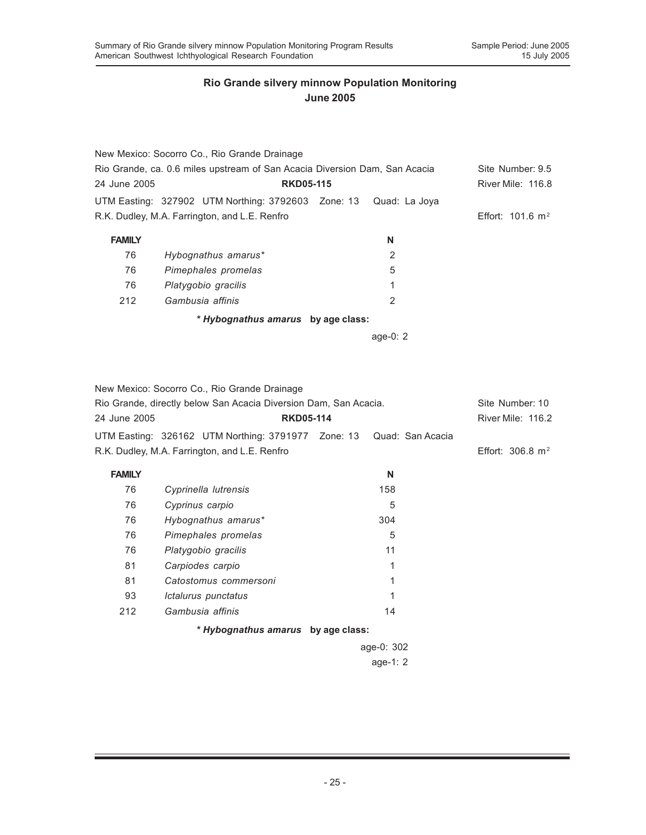|                                                                            | New Mexico: Socorro Co., Rio Grande Drainage       |               |                             |
|----------------------------------------------------------------------------|----------------------------------------------------|---------------|-----------------------------|
| Rio Grande, ca. 0.6 miles upstream of San Acacia Diversion Dam, San Acacia |                                                    |               | Site Number: 9.5            |
| 24 June 2005                                                               | <b>RKD05-115</b>                                   |               | River Mile: 116.8           |
|                                                                            | UTM Easting: 327902 UTM Northing: 3792603 Zone: 13 | Quad: La Joya |                             |
|                                                                            | R.K. Dudley, M.A. Farrington, and L.E. Renfro      |               | Effort: $101.6 \text{ m}^2$ |
| <b>FAMILY</b>                                                              |                                                    | N             |                             |
| 76                                                                         | Hybognathus amarus*                                | 2             |                             |
| 76                                                                         | Pimephales promelas                                | 5             |                             |
| 76                                                                         | Platygobio gracilis                                | 1             |                             |
| 212                                                                        | Gambusia affinis                                   | 2             |                             |
|                                                                            | * Hybognathus amarus by age class:                 |               |                             |

age-0: 2

New Mexico: Socorro Co., Rio Grande Drainage

| Rio Grande, directly below San Acacia Diversion Dam, San Acacia. |                                                                     |  |            | Site Number: 10             |  |
|------------------------------------------------------------------|---------------------------------------------------------------------|--|------------|-----------------------------|--|
| 24 June 2005                                                     | <b>RKD05-114</b>                                                    |  |            | River Mile: 116.2           |  |
|                                                                  | UTM Easting: 326162 UTM Northing: 3791977 Zone: 13 Quad: San Acacia |  |            |                             |  |
|                                                                  | R.K. Dudley, M.A. Farrington, and L.E. Renfro                       |  |            | Effort: $306.8 \text{ m}^2$ |  |
| <b>FAMILY</b>                                                    |                                                                     |  | N          |                             |  |
| 76                                                               | Cyprinella lutrensis                                                |  | 158        |                             |  |
| 76                                                               | Cyprinus carpio                                                     |  | 5          |                             |  |
| 76                                                               | Hybognathus amarus*                                                 |  | 304        |                             |  |
| 76                                                               | Pimephales promelas                                                 |  | 5          |                             |  |
| 76                                                               | Platygobio gracilis                                                 |  | 11         |                             |  |
| 81                                                               | Carpiodes carpio                                                    |  | 1          |                             |  |
| 81                                                               | Catostomus commersoni                                               |  | 1          |                             |  |
| 93                                                               | Ictalurus punctatus                                                 |  | 1          |                             |  |
| 212                                                              | Gambusia affinis                                                    |  | 14         |                             |  |
|                                                                  | * Hybognathus amarus by age class:                                  |  |            |                             |  |
|                                                                  |                                                                     |  | age-0: 302 |                             |  |
|                                                                  |                                                                     |  | age-1: $2$ |                             |  |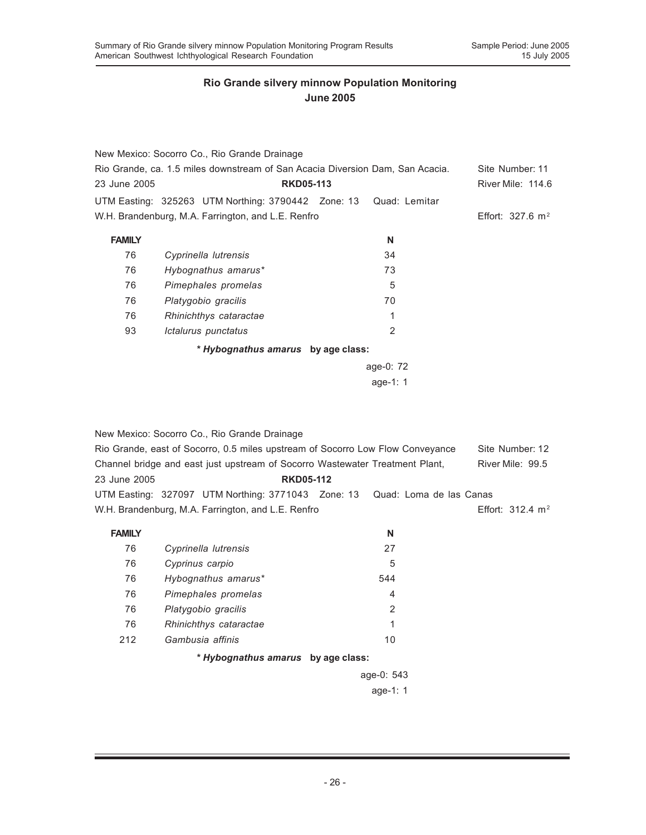|                                                                               | New Mexico: Socorro Co., Rio Grande Drainage       |                |                             |
|-------------------------------------------------------------------------------|----------------------------------------------------|----------------|-----------------------------|
| Rio Grande, ca. 1.5 miles downstream of San Acacia Diversion Dam, San Acacia. | Site Number: 11                                    |                |                             |
| 23 June 2005                                                                  | <b>RKD05-113</b>                                   |                | River Mile: 114.6           |
|                                                                               | UTM Easting: 325263 UTM Northing: 3790442 Zone: 13 | Quad: Lemitar  |                             |
|                                                                               | W.H. Brandenburg, M.A. Farrington, and L.E. Renfro |                | Effort: $327.6 \text{ m}^2$ |
| <b>FAMILY</b>                                                                 |                                                    | N              |                             |
| 76                                                                            | Cyprinella lutrensis                               | 34             |                             |
| 76                                                                            | Hybognathus amarus*                                | 73             |                             |
| 76                                                                            | Pimephales promelas                                | 5              |                             |
| 76                                                                            | Platygobio gracilis                                | 70             |                             |
| 76                                                                            | Rhinichthys cataractae                             | 1              |                             |
| 93                                                                            | Ictalurus punctatus                                | $\overline{2}$ |                             |
|                                                                               | * Hybognathus amarus by age class:                 |                |                             |
|                                                                               |                                                    | age-0: 72      |                             |
|                                                                               |                                                    | age-1: $1$     |                             |

New Mexico: Socorro Co., Rio Grande Drainage Rio Grande, east of Socorro, 0.5 miles upstream of Socorro Low Flow Conveyance Site Number: 12 Channel bridge and east just upstream of Socorro Wastewater Treatment Plant, River Mile: 99.5 23 June 2005 **RKD05-112** UTM Easting: 327097 UTM Northing: 3771043 Zone: 13 Quad: Loma de las Canas W.H. Brandenburg, M.A. Farrington, and L.E. Renfro **Effort: 312.4 m<sup>2</sup> FAMILY N** 76 *Cyprinella lutrensis* 27 76 *Cyprinus carpio* 5 76 *Hybognathus amarus\** 544 76 *Pimephales promelas* 4 76 *Platygobio gracilis* 2

*\* Hybognathus amarus* **by age class:**

76 *Rhinichthys cataractae* 1 212 *Gambusia affinis* 10

> age-0: 543 age-1: 1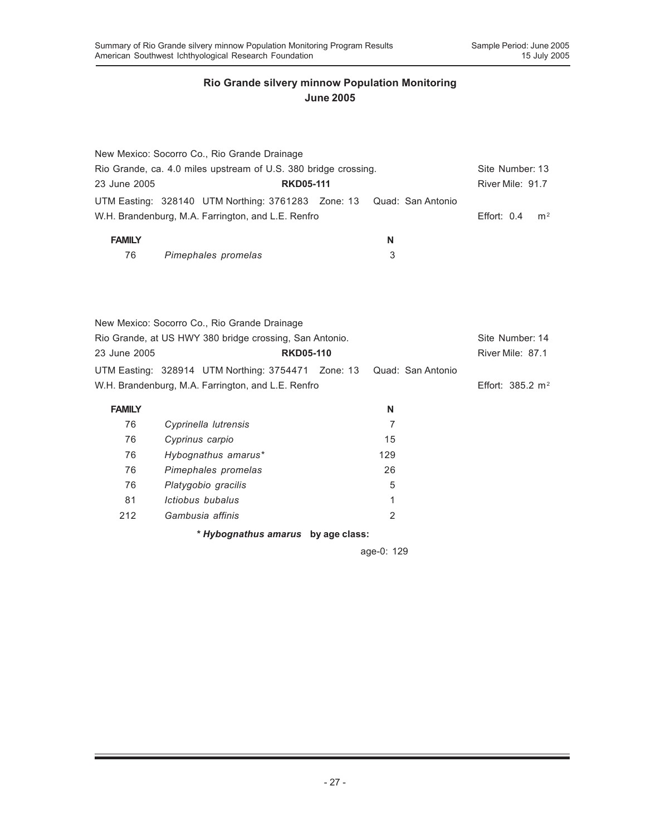|                                                                 |                 | New Mexico: Socorro Co., Rio Grande Drainage                         |                  |  |                  |                   |                             |                |
|-----------------------------------------------------------------|-----------------|----------------------------------------------------------------------|------------------|--|------------------|-------------------|-----------------------------|----------------|
| Rio Grande, ca. 4.0 miles upstream of U.S. 380 bridge crossing. |                 |                                                                      |                  |  | Site Number: 13  |                   |                             |                |
| 23 June 2005                                                    |                 | <b>RKD05-111</b>                                                     |                  |  | River Mile: 91.7 |                   |                             |                |
|                                                                 |                 | UTM Easting: 328140 UTM Northing: 3761283 Zone: 13 Quad: San Antonio |                  |  |                  |                   |                             |                |
|                                                                 |                 | W.H. Brandenburg, M.A. Farrington, and L.E. Renfro                   |                  |  |                  |                   | Effort: $0.4$               | m <sup>2</sup> |
| <b>FAMILY</b>                                                   |                 |                                                                      |                  |  | N                |                   |                             |                |
| 76                                                              |                 | Pimephales promelas                                                  |                  |  | 3                |                   |                             |                |
|                                                                 |                 |                                                                      |                  |  |                  |                   |                             |                |
|                                                                 |                 | New Mexico: Socorro Co., Rio Grande Drainage                         |                  |  |                  |                   |                             |                |
|                                                                 |                 | Rio Grande, at US HWY 380 bridge crossing, San Antonio.              |                  |  |                  |                   | Site Number: 14             |                |
| 23 June 2005                                                    |                 |                                                                      | <b>RKD05-110</b> |  |                  |                   | River Mile: 87.1            |                |
|                                                                 |                 | UTM Easting: 328914 UTM Northing: 3754471 Zone: 13                   |                  |  |                  | Quad: San Antonio |                             |                |
|                                                                 |                 | W.H. Brandenburg, M.A. Farrington, and L.E. Renfro                   |                  |  |                  |                   | Effort: $385.2 \text{ m}^2$ |                |
| <b>FAMILY</b>                                                   |                 |                                                                      |                  |  | N                |                   |                             |                |
| 76                                                              |                 | Cyprinella lutrensis                                                 |                  |  | $\overline{7}$   |                   |                             |                |
| 76                                                              | Cyprinus carpio |                                                                      |                  |  | 15               |                   |                             |                |
| 76                                                              |                 | Hybognathus amarus*                                                  |                  |  | 129              |                   |                             |                |
| 76                                                              |                 | Pimephales promelas                                                  |                  |  | 26               |                   |                             |                |
| 76                                                              |                 | Platygobio gracilis                                                  |                  |  | 5                |                   |                             |                |
| 81                                                              |                 | Ictiobus bubalus                                                     |                  |  | 1                |                   |                             |                |
| 212                                                             |                 | Gambusia affinis                                                     |                  |  | 2                |                   |                             |                |
|                                                                 |                 | * Hybognathus amarus by age class:                                   |                  |  |                  |                   |                             |                |
|                                                                 |                 |                                                                      |                  |  |                  |                   |                             |                |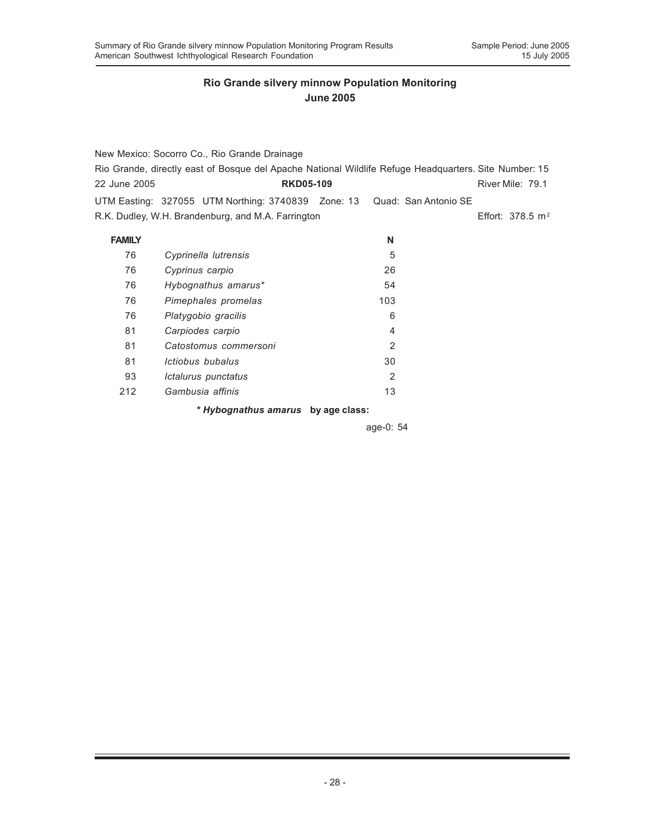|               | New Mexico: Socorro Co., Rio Grande Drainage                                                          |                |  |                    |  |
|---------------|-------------------------------------------------------------------------------------------------------|----------------|--|--------------------|--|
|               | Rio Grande, directly east of Bosque del Apache National Wildlife Refuge Headquarters. Site Number: 15 |                |  |                    |  |
| 22 June 2005  | <b>RKD05-109</b>                                                                                      |                |  | River Mile: 79.1   |  |
|               | UTM Easting: 327055 UTM Northing: 3740839 Zone: 13 Quad: San Antonio SE                               |                |  |                    |  |
|               | R.K. Dudley, W.H. Brandenburg, and M.A. Farrington                                                    |                |  | Effort: 378.5 $m2$ |  |
| <b>FAMILY</b> |                                                                                                       | N              |  |                    |  |
| 76            | Cyprinella lutrensis                                                                                  | 5              |  |                    |  |
| 76            | Cyprinus carpio                                                                                       | 26             |  |                    |  |
| 76            | Hybognathus amarus*                                                                                   | 54             |  |                    |  |
| 76            | Pimephales promelas                                                                                   | 103            |  |                    |  |
| 76            | Platygobio gracilis                                                                                   | 6              |  |                    |  |
| 81            | Carpiodes carpio                                                                                      | 4              |  |                    |  |
| 81            | Catostomus commersoni                                                                                 | $\mathbf{2}$   |  |                    |  |
| 81            | Ictiobus bubalus                                                                                      | 30             |  |                    |  |
| 93            | Ictalurus punctatus                                                                                   | $\overline{2}$ |  |                    |  |

212 *Gambusia affinis* 13

*\* Hybognathus amarus* **by age class:**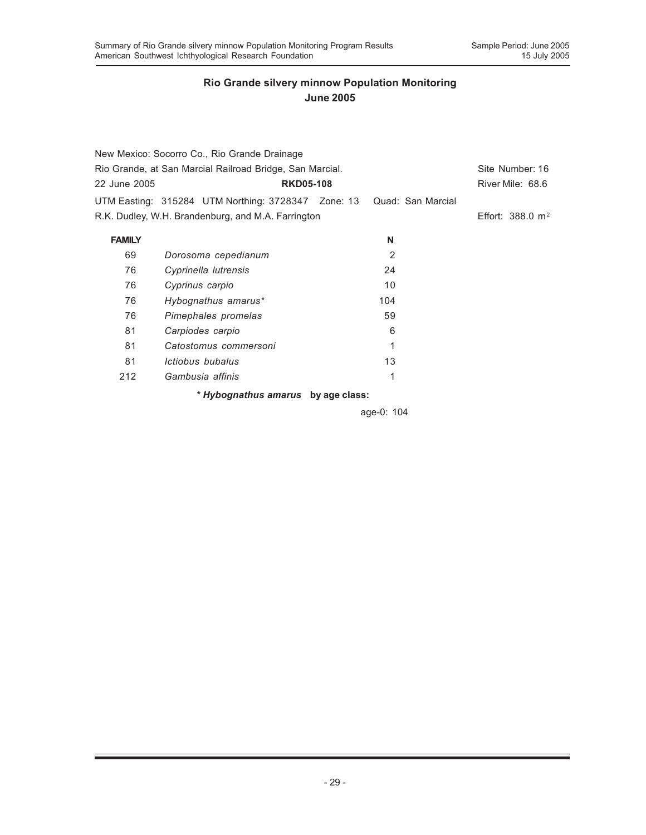| New Mexico: Socorro Co., Rio Grande Drainage             |                                                    |     |                             |  |
|----------------------------------------------------------|----------------------------------------------------|-----|-----------------------------|--|
| Rio Grande, at San Marcial Railroad Bridge, San Marcial. | Site Number: 16                                    |     |                             |  |
| 22 June 2005                                             | <b>RKD05-108</b>                                   |     | River Mile: 68.6            |  |
|                                                          | UTM Easting: 315284 UTM Northing: 3728347 Zone: 13 |     | Quad: San Marcial           |  |
|                                                          | R.K. Dudley, W.H. Brandenburg, and M.A. Farrington |     | Effort: $388.0 \text{ m}^2$ |  |
| <b>FAMILY</b>                                            |                                                    | N   |                             |  |
| 69                                                       | Dorosoma cepedianum                                | 2   |                             |  |
| 76                                                       | Cyprinella lutrensis                               | 24  |                             |  |
| 76                                                       | Cyprinus carpio                                    | 10  |                             |  |
| 76                                                       | Hybognathus amarus*                                | 104 |                             |  |
| 76                                                       | Pimephales promelas                                | 59  |                             |  |
| 81                                                       | Carpiodes carpio                                   | 6   |                             |  |
| 81                                                       | Catostomus commersoni                              | 1   |                             |  |
| 81                                                       | Ictiobus bubalus                                   | 13  |                             |  |
| 212                                                      | Gambusia affinis                                   | 1   |                             |  |
|                                                          | * Hybognathus amarus by age class:                 |     |                             |  |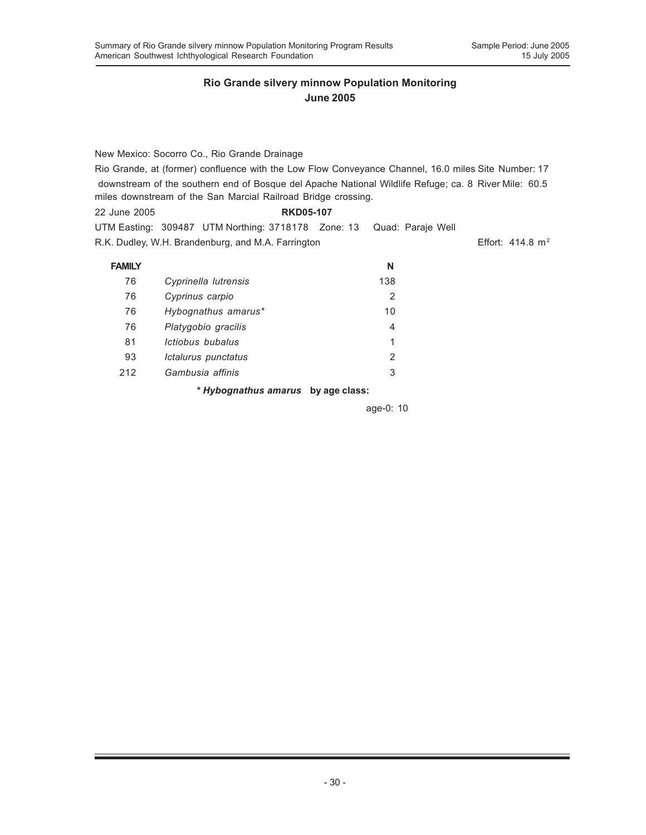New Mexico: Socorro Co., Rio Grande Drainage Rio Grande, at (former) confluence with the Low Flow Conveyance Channel, 16.0 miles Site Number: 17 downstream of the southern end of Bosque del Apache National Wildlife Refuge; ca. 8 River Mile: 60.5 miles downstream of the San Marcial Railroad Bridge crossing.

| 22 June 2005 | <b>RKD05-107</b>                                                     |  |                             |
|--------------|----------------------------------------------------------------------|--|-----------------------------|
|              | UTM Easting: 309487 UTM Northing: 3718178 Zone: 13 Quad: Paraje Well |  |                             |
|              | R.K. Dudley, W.H. Brandenburg, and M.A. Farrington                   |  | Effort: $414.8 \text{ m}^2$ |

| <b>FAMILY</b> |                                    | N   |
|---------------|------------------------------------|-----|
| 76            | Cyprinella lutrensis               | 138 |
| 76            | Cyprinus carpio                    | 2   |
| 76            | Hybognathus amarus*                | 10  |
| 76            | Platygobio gracilis                | 4   |
| 81            | <i>Ictiobus bubalus</i>            | 1   |
| 93            | Ictalurus punctatus                | 2   |
| 212           | Gambusia affinis                   | 3   |
|               | * Hybognathus amarus by age class: |     |